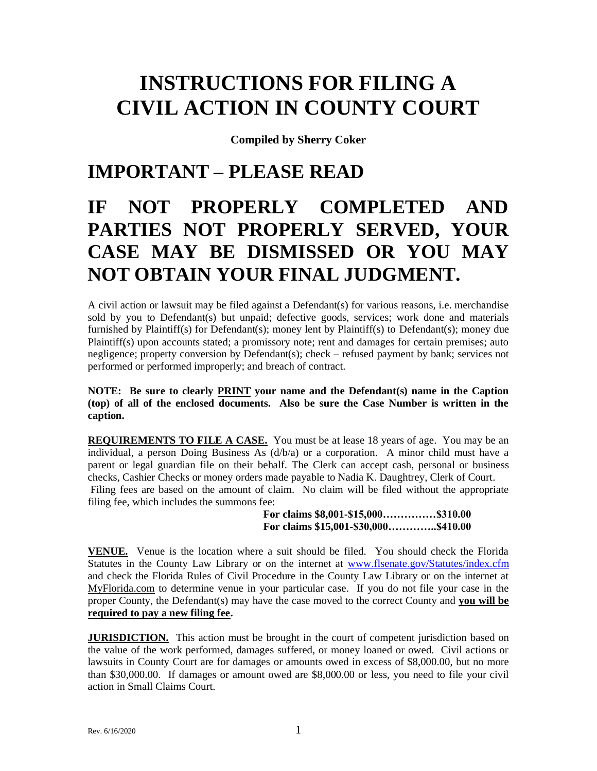# **INSTRUCTIONS FOR FILING A CIVIL ACTION IN COUNTY COURT**

**Compiled by Sherry Coker**

# **IMPORTANT – PLEASE READ**

# **IF NOT PROPERLY COMPLETED AND PARTIES NOT PROPERLY SERVED, YOUR CASE MAY BE DISMISSED OR YOU MAY NOT OBTAIN YOUR FINAL JUDGMENT.**

A civil action or lawsuit may be filed against a Defendant(s) for various reasons, i.e. merchandise sold by you to Defendant(s) but unpaid; defective goods, services; work done and materials furnished by Plaintiff(s) for Defendant(s); money lent by Plaintiff(s) to Defendant(s); money due Plaintiff(s) upon accounts stated; a promissory note; rent and damages for certain premises; auto negligence; property conversion by Defendant(s); check – refused payment by bank; services not performed or performed improperly; and breach of contract.

**NOTE: Be sure to clearly PRINT your name and the Defendant(s) name in the Caption (top) of all of the enclosed documents. Also be sure the Case Number is written in the caption.**

**REQUIREMENTS TO FILE A CASE.** You must be at lease 18 years of age. You may be an individual, a person Doing Business As (d/b/a) or a corporation. A minor child must have a parent or legal guardian file on their behalf. The Clerk can accept cash, personal or business checks, Cashier Checks or money orders made payable to Nadia K. Daughtrey, Clerk of Court. Filing fees are based on the amount of claim. No claim will be filed without the appropriate filing fee, which includes the summons fee:

**For claims \$8,001-\$15,000……………\$310.00 For claims \$15,001-\$30,000…………..\$410.00**

**VENUE.** Venue is the location where a suit should be filed. You should check the Florida Statutes in the County Law Library or on the internet at [www.flsenate.gov/Statutes/index.cfm](http://www.flsenate.gov/Statutes/index.cfm)  and check the Florida Rules of Civil Procedure in the County Law Library or on the internet at MyFlorida.com to determine venue in your particular case. If you do not file your case in the proper County, the Defendant(s) may have the case moved to the correct County and **you will be required to pay a new filing fee.**

**JURISDICTION.** This action must be brought in the court of competent jurisdiction based on the value of the work performed, damages suffered, or money loaned or owed. Civil actions or lawsuits in County Court are for damages or amounts owed in excess of \$8,000.00, but no more than \$30,000.00. If damages or amount owed are \$8,000.00 or less, you need to file your civil action in Small Claims Court.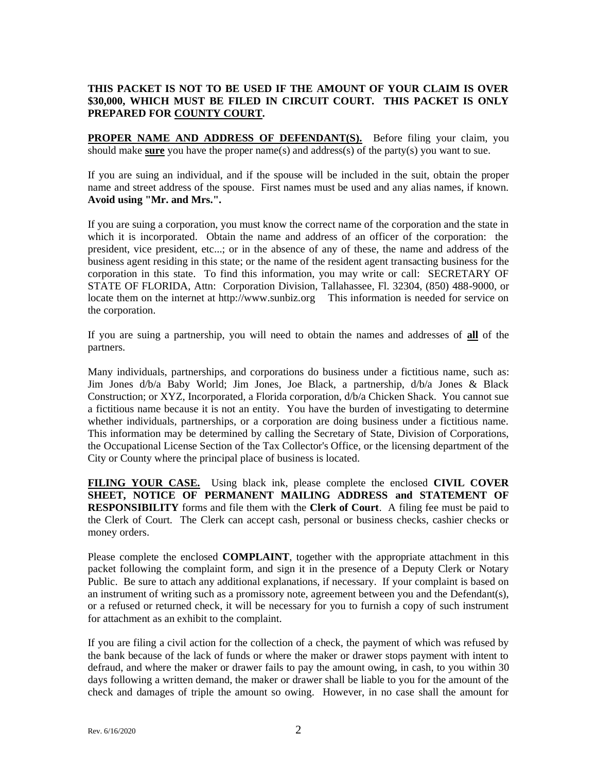#### **THIS PACKET IS NOT TO BE USED IF THE AMOUNT OF YOUR CLAIM IS OVER \$30,000, WHICH MUST BE FILED IN CIRCUIT COURT. THIS PACKET IS ONLY PREPARED FOR COUNTY COURT.**

**PROPER NAME AND ADDRESS OF DEFENDANT(S).** Before filing your claim, you should make **sure** you have the proper name(s) and address(s) of the party(s) you want to sue.

If you are suing an individual, and if the spouse will be included in the suit, obtain the proper name and street address of the spouse. First names must be used and any alias names, if known. **Avoid using "Mr. and Mrs.".**

If you are suing a corporation, you must know the correct name of the corporation and the state in which it is incorporated. Obtain the name and address of an officer of the corporation: the president, vice president, etc...; or in the absence of any of these, the name and address of the business agent residing in this state; or the name of the resident agent transacting business for the corporation in this state. To find this information, you may write or call: SECRETARY OF STATE OF FLORIDA, Attn: Corporation Division, Tallahassee, Fl. 32304, (850) 488-9000, or locate them on the internet at http://www.sunbiz.org This information is needed for service on the corporation.

If you are suing a partnership, you will need to obtain the names and addresses of **all** of the partners.

Many individuals, partnerships, and corporations do business under a fictitious name, such as: Jim Jones d/b/a Baby World; Jim Jones, Joe Black, a partnership, d/b/a Jones & Black Construction; or XYZ, Incorporated, a Florida corporation, d/b/a Chicken Shack. You cannot sue a fictitious name because it is not an entity. You have the burden of investigating to determine whether individuals, partnerships, or a corporation are doing business under a fictitious name. This information may be determined by calling the Secretary of State, Division of Corporations, the Occupational License Section of the Tax Collector's Office, or the licensing department of the City or County where the principal place of business is located.

**FILING YOUR CASE.** Using black ink, please complete the enclosed **CIVIL COVER SHEET, NOTICE OF PERMANENT MAILING ADDRESS and STATEMENT OF RESPONSIBILITY** forms and file them with the **Clerk of Court**. A filing fee must be paid to the Clerk of Court. The Clerk can accept cash, personal or business checks, cashier checks or money orders.

Please complete the enclosed **COMPLAINT**, together with the appropriate attachment in this packet following the complaint form, and sign it in the presence of a Deputy Clerk or Notary Public. Be sure to attach any additional explanations, if necessary. If your complaint is based on an instrument of writing such as a promissory note, agreement between you and the Defendant(s), or a refused or returned check, it will be necessary for you to furnish a copy of such instrument for attachment as an exhibit to the complaint.

If you are filing a civil action for the collection of a check, the payment of which was refused by the bank because of the lack of funds or where the maker or drawer stops payment with intent to defraud, and where the maker or drawer fails to pay the amount owing, in cash, to you within 30 days following a written demand, the maker or drawer shall be liable to you for the amount of the check and damages of triple the amount so owing. However, in no case shall the amount for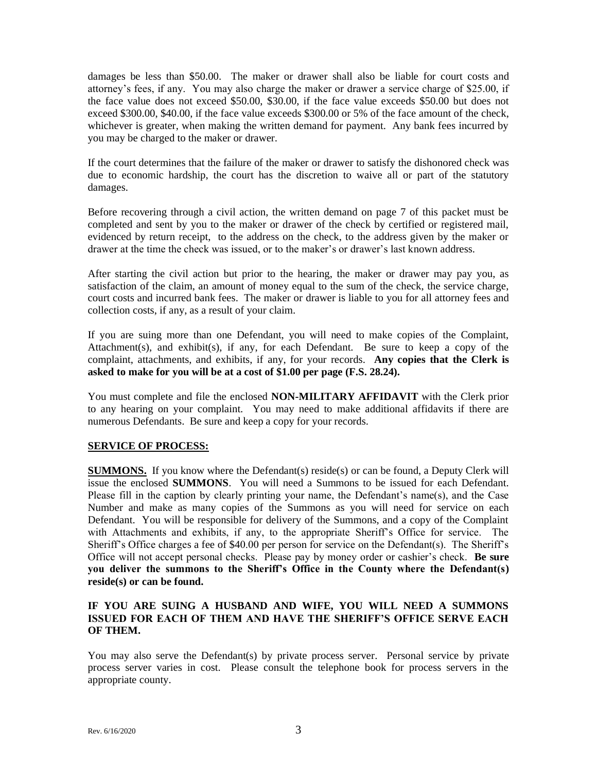damages be less than \$50.00. The maker or drawer shall also be liable for court costs and attorney's fees, if any. You may also charge the maker or drawer a service charge of \$25.00, if the face value does not exceed \$50.00, \$30.00, if the face value exceeds \$50.00 but does not exceed \$300.00, \$40.00, if the face value exceeds \$300.00 or 5% of the face amount of the check, whichever is greater, when making the written demand for payment. Any bank fees incurred by you may be charged to the maker or drawer.

If the court determines that the failure of the maker or drawer to satisfy the dishonored check was due to economic hardship, the court has the discretion to waive all or part of the statutory damages.

Before recovering through a civil action, the written demand on page 7 of this packet must be completed and sent by you to the maker or drawer of the check by certified or registered mail, evidenced by return receipt, to the address on the check, to the address given by the maker or drawer at the time the check was issued, or to the maker's or drawer's last known address.

After starting the civil action but prior to the hearing, the maker or drawer may pay you, as satisfaction of the claim, an amount of money equal to the sum of the check, the service charge, court costs and incurred bank fees. The maker or drawer is liable to you for all attorney fees and collection costs, if any, as a result of your claim.

If you are suing more than one Defendant, you will need to make copies of the Complaint, Attachment(s), and exhibit(s), if any, for each Defendant. Be sure to keep a copy of the complaint, attachments, and exhibits, if any, for your records. **Any copies that the Clerk is asked to make for you will be at a cost of \$1.00 per page (F.S. 28.24).**

You must complete and file the enclosed **NON-MILITARY AFFIDAVIT** with the Clerk prior to any hearing on your complaint. You may need to make additional affidavits if there are numerous Defendants. Be sure and keep a copy for your records.

#### **SERVICE OF PROCESS:**

**SUMMONS.** If you know where the Defendant(s) reside(s) or can be found, a Deputy Clerk will issue the enclosed **SUMMONS**. You will need a Summons to be issued for each Defendant. Please fill in the caption by clearly printing your name, the Defendant's name(s), and the Case Number and make as many copies of the Summons as you will need for service on each Defendant. You will be responsible for delivery of the Summons, and a copy of the Complaint with Attachments and exhibits, if any, to the appropriate Sheriff's Office for service. The Sheriff's Office charges a fee of \$40.00 per person for service on the Defendant(s). The Sheriff's Office will not accept personal checks. Please pay by money order or cashier's check. **Be sure you deliver the summons to the Sheriff's Office in the County where the Defendant(s) reside(s) or can be found.**

#### **IF YOU ARE SUING A HUSBAND AND WIFE, YOU WILL NEED A SUMMONS ISSUED FOR EACH OF THEM AND HAVE THE SHERIFF'S OFFICE SERVE EACH OF THEM.**

You may also serve the Defendant(s) by private process server. Personal service by private process server varies in cost. Please consult the telephone book for process servers in the appropriate county.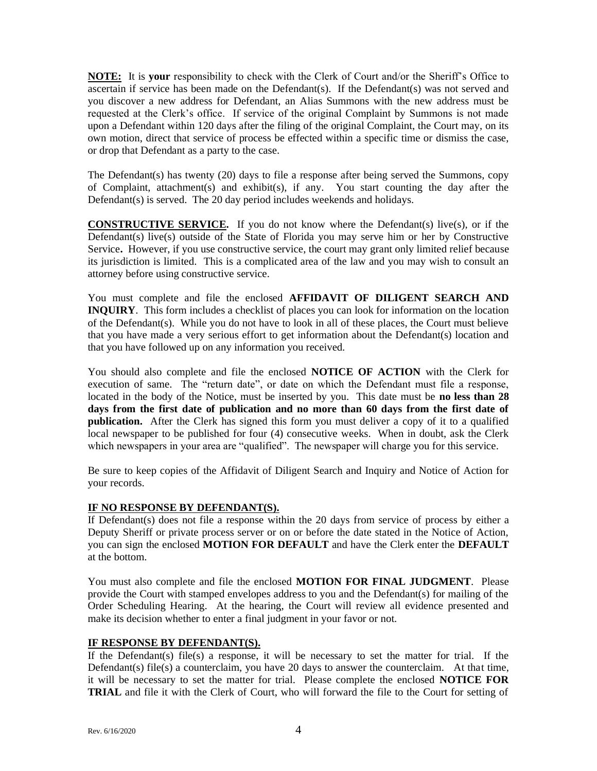**NOTE:** It is **your** responsibility to check with the Clerk of Court and/or the Sheriff's Office to ascertain if service has been made on the Defendant(s). If the Defendant(s) was not served and you discover a new address for Defendant, an Alias Summons with the new address must be requested at the Clerk's office. If service of the original Complaint by Summons is not made upon a Defendant within 120 days after the filing of the original Complaint, the Court may, on its own motion, direct that service of process be effected within a specific time or dismiss the case, or drop that Defendant as a party to the case.

The Defendant(s) has twenty (20) days to file a response after being served the Summons, copy of Complaint, attachment(s) and exhibit(s), if any. You start counting the day after the Defendant(s) is served. The 20 day period includes weekends and holidays.

**CONSTRUCTIVE SERVICE.** If you do not know where the Defendant(s) live(s), or if the Defendant(s) live(s) outside of the State of Florida you may serve him or her by Constructive Service**.** However, if you use constructive service, the court may grant only limited relief because its jurisdiction is limited. This is a complicated area of the law and you may wish to consult an attorney before using constructive service.

You must complete and file the enclosed **AFFIDAVIT OF DILIGENT SEARCH AND INQUIRY**. This form includes a checklist of places you can look for information on the location of the Defendant(s). While you do not have to look in all of these places, the Court must believe that you have made a very serious effort to get information about the Defendant(s) location and that you have followed up on any information you received.

You should also complete and file the enclosed **NOTICE OF ACTION** with the Clerk for execution of same. The "return date", or date on which the Defendant must file a response, located in the body of the Notice, must be inserted by you. This date must be **no less than 28 days from the first date of publication and no more than 60 days from the first date of publication.** After the Clerk has signed this form you must deliver a copy of it to a qualified local newspaper to be published for four (4) consecutive weeks. When in doubt, ask the Clerk which newspapers in your area are "qualified". The newspaper will charge you for this service.

Be sure to keep copies of the Affidavit of Diligent Search and Inquiry and Notice of Action for your records.

#### **IF NO RESPONSE BY DEFENDANT(S).**

If Defendant(s) does not file a response within the 20 days from service of process by either a Deputy Sheriff or private process server or on or before the date stated in the Notice of Action, you can sign the enclosed **MOTION FOR DEFAULT** and have the Clerk enter the **DEFAULT** at the bottom.

You must also complete and file the enclosed **MOTION FOR FINAL JUDGMENT**. Please provide the Court with stamped envelopes address to you and the Defendant(s) for mailing of the Order Scheduling Hearing. At the hearing, the Court will review all evidence presented and make its decision whether to enter a final judgment in your favor or not.

#### **IF RESPONSE BY DEFENDANT(S).**

If the Defendant(s) file(s) a response, it will be necessary to set the matter for trial. If the Defendant(s) file(s) a counterclaim, you have 20 days to answer the counterclaim. At that time, it will be necessary to set the matter for trial. Please complete the enclosed **NOTICE FOR TRIAL** and file it with the Clerk of Court, who will forward the file to the Court for setting of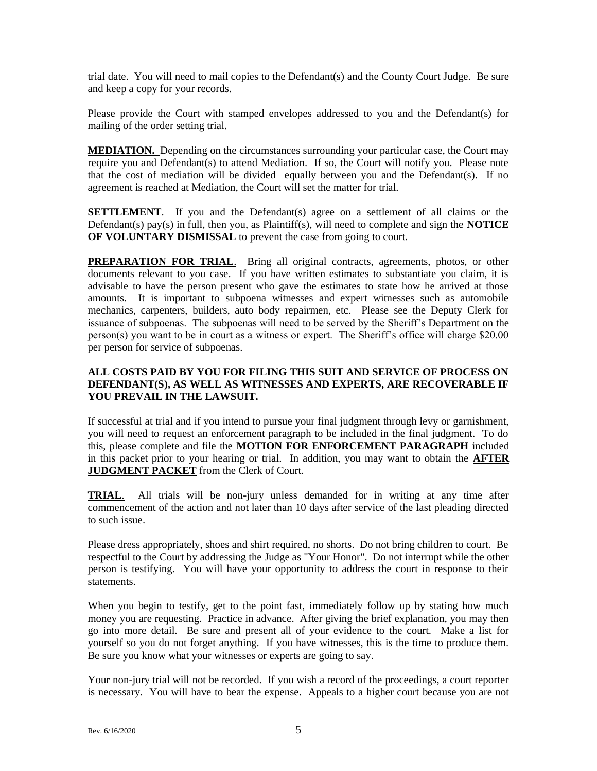trial date. You will need to mail copies to the Defendant(s) and the County Court Judge. Be sure and keep a copy for your records.

Please provide the Court with stamped envelopes addressed to you and the Defendant(s) for mailing of the order setting trial.

**MEDIATION.** Depending on the circumstances surrounding your particular case, the Court may require you and Defendant(s) to attend Mediation. If so, the Court will notify you. Please note that the cost of mediation will be divided equally between you and the Defendant(s). If no agreement is reached at Mediation, the Court will set the matter for trial.

**SETTLEMENT**. If you and the Defendant(s) agree on a settlement of all claims or the Defendant(s) pay(s) in full, then you, as Plaintiff(s), will need to complete and sign the **NOTICE OF VOLUNTARY DISMISSAL** to prevent the case from going to court.

**PREPARATION FOR TRIAL.** Bring all original contracts, agreements, photos, or other documents relevant to you case. If you have written estimates to substantiate you claim, it is advisable to have the person present who gave the estimates to state how he arrived at those amounts. It is important to subpoena witnesses and expert witnesses such as automobile mechanics, carpenters, builders, auto body repairmen, etc. Please see the Deputy Clerk for issuance of subpoenas. The subpoenas will need to be served by the Sheriff's Department on the person(s) you want to be in court as a witness or expert. The Sheriff's office will charge \$20.00 per person for service of subpoenas.

#### **ALL COSTS PAID BY YOU FOR FILING THIS SUIT AND SERVICE OF PROCESS ON DEFENDANT(S), AS WELL AS WITNESSES AND EXPERTS, ARE RECOVERABLE IF YOU PREVAIL IN THE LAWSUIT.**

If successful at trial and if you intend to pursue your final judgment through levy or garnishment, you will need to request an enforcement paragraph to be included in the final judgment. To do this, please complete and file the **MOTION FOR ENFORCEMENT PARAGRAPH** included in this packet prior to your hearing or trial. In addition, you may want to obtain the **AFTER JUDGMENT PACKET** from the Clerk of Court.

**TRIAL**. All trials will be non-jury unless demanded for in writing at any time after commencement of the action and not later than 10 days after service of the last pleading directed to such issue.

Please dress appropriately, shoes and shirt required, no shorts. Do not bring children to court. Be respectful to the Court by addressing the Judge as "Your Honor". Do not interrupt while the other person is testifying. You will have your opportunity to address the court in response to their statements.

When you begin to testify, get to the point fast, immediately follow up by stating how much money you are requesting. Practice in advance. After giving the brief explanation, you may then go into more detail. Be sure and present all of your evidence to the court. Make a list for yourself so you do not forget anything. If you have witnesses, this is the time to produce them. Be sure you know what your witnesses or experts are going to say.

Your non-jury trial will not be recorded. If you wish a record of the proceedings, a court reporter is necessary. You will have to bear the expense. Appeals to a higher court because you are not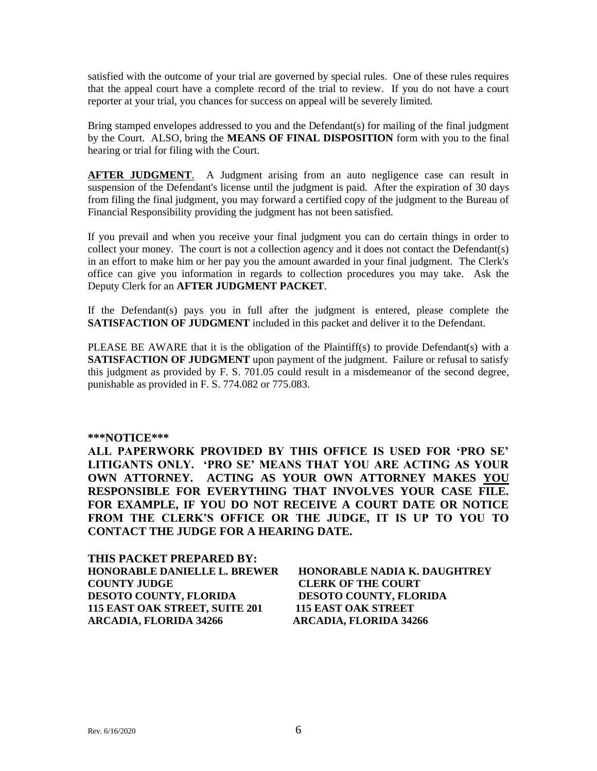satisfied with the outcome of your trial are governed by special rules. One of these rules requires that the appeal court have a complete record of the trial to review. If you do not have a court reporter at your trial, you chances for success on appeal will be severely limited.

Bring stamped envelopes addressed to you and the Defendant(s) for mailing of the final judgment by the Court. ALSO, bring the **MEANS OF FINAL DISPOSITION** form with you to the final hearing or trial for filing with the Court.

**AFTER JUDGMENT.** A Judgment arising from an auto negligence case can result in suspension of the Defendant's license until the judgment is paid. After the expiration of 30 days from filing the final judgment, you may forward a certified copy of the judgment to the Bureau of Financial Responsibility providing the judgment has not been satisfied.

If you prevail and when you receive your final judgment you can do certain things in order to collect your money. The court is not a collection agency and it does not contact the Defendant(s) in an effort to make him or her pay you the amount awarded in your final judgment. The Clerk's office can give you information in regards to collection procedures you may take. Ask the Deputy Clerk for an **AFTER JUDGMENT PACKET**.

If the Defendant(s) pays you in full after the judgment is entered, please complete the **SATISFACTION OF JUDGMENT** included in this packet and deliver it to the Defendant.

PLEASE BE AWARE that it is the obligation of the Plaintiff(s) to provide Defendant(s) with a **SATISFACTION OF JUDGMENT** upon payment of the judgment. Failure or refusal to satisfy this judgment as provided by F. S. 701.05 could result in a misdemeanor of the second degree, punishable as provided in F. S. 774.082 or 775.083.

#### **\*\*\*NOTICE\*\*\***

**ALL PAPERWORK PROVIDED BY THIS OFFICE IS USED FOR 'PRO SE' LITIGANTS ONLY. 'PRO SE' MEANS THAT YOU ARE ACTING AS YOUR OWN ATTORNEY. ACTING AS YOUR OWN ATTORNEY MAKES YOU RESPONSIBLE FOR EVERYTHING THAT INVOLVES YOUR CASE FILE. FOR EXAMPLE, IF YOU DO NOT RECEIVE A COURT DATE OR NOTICE FROM THE CLERK'S OFFICE OR THE JUDGE, IT IS UP TO YOU TO CONTACT THE JUDGE FOR A HEARING DATE.**

**THIS PACKET PREPARED BY: HONORABLE DANIELLE L. BREWER HONORABLE NADIA K. DAUGHTREY COUNTY JUDGE CLERK OF THE COURT DESOTO COUNTY, FLORIDA DESOTO COUNTY, FLORIDA 115 EAST OAK STREET, SUITE 201 115 EAST OAK STREET ARCADIA, FLORIDA 34266 ARCADIA, FLORIDA 34266**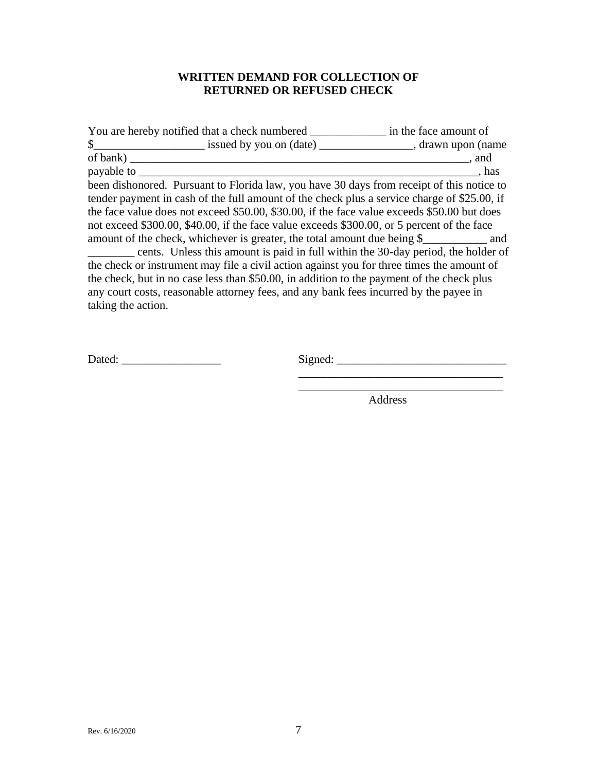# **WRITTEN DEMAND FOR COLLECTION OF RETURNED OR REFUSED CHECK**

| You are hereby notified that a check numbered                                                                                                                                                                                                                                                                                                                                                                                                                                                                                                          | in the face amount of |
|--------------------------------------------------------------------------------------------------------------------------------------------------------------------------------------------------------------------------------------------------------------------------------------------------------------------------------------------------------------------------------------------------------------------------------------------------------------------------------------------------------------------------------------------------------|-----------------------|
|                                                                                                                                                                                                                                                                                                                                                                                                                                                                                                                                                        |                       |
| of bank)                                                                                                                                                                                                                                                                                                                                                                                                                                                                                                                                               | . and                 |
| payable to _                                                                                                                                                                                                                                                                                                                                                                                                                                                                                                                                           | has.                  |
| been dishonored. Pursuant to Florida law, you have 30 days from receipt of this notice to<br>tender payment in cash of the full amount of the check plus a service charge of \$25.00, if<br>the face value does not exceed \$50.00, \$30.00, if the face value exceeds \$50.00 but does<br>not exceed \$300.00, \$40.00, if the face value exceeds \$300.00, or 5 percent of the face<br>amount of the check, whichever is greater, the total amount due being \$<br>cents. Unless this amount is paid in full within the 30-day period, the holder of |                       |
| the check or instrument may file a civil action against you for three times the amount of<br>the check, but in no case less than \$50.00, in addition to the payment of the check plus<br>any court costs, reasonable attorney fees, and any bank fees incurred by the payee in<br>taking the action.                                                                                                                                                                                                                                                  |                       |

Dated: \_\_\_\_\_\_\_\_\_\_\_\_\_\_\_\_\_ Signed: \_\_\_\_\_\_\_\_\_\_\_\_\_\_\_\_\_\_\_\_\_\_\_\_\_\_\_\_\_

\_\_\_\_\_\_\_\_\_\_\_\_\_\_\_\_\_\_\_\_\_\_\_\_\_\_\_\_\_\_\_\_\_\_\_

Address

 $\overline{\phantom{a}}$  ,  $\overline{\phantom{a}}$  ,  $\overline{\phantom{a}}$  ,  $\overline{\phantom{a}}$  ,  $\overline{\phantom{a}}$  ,  $\overline{\phantom{a}}$  ,  $\overline{\phantom{a}}$  ,  $\overline{\phantom{a}}$  ,  $\overline{\phantom{a}}$  ,  $\overline{\phantom{a}}$  ,  $\overline{\phantom{a}}$  ,  $\overline{\phantom{a}}$  ,  $\overline{\phantom{a}}$  ,  $\overline{\phantom{a}}$  ,  $\overline{\phantom{a}}$  ,  $\overline{\phantom{a}}$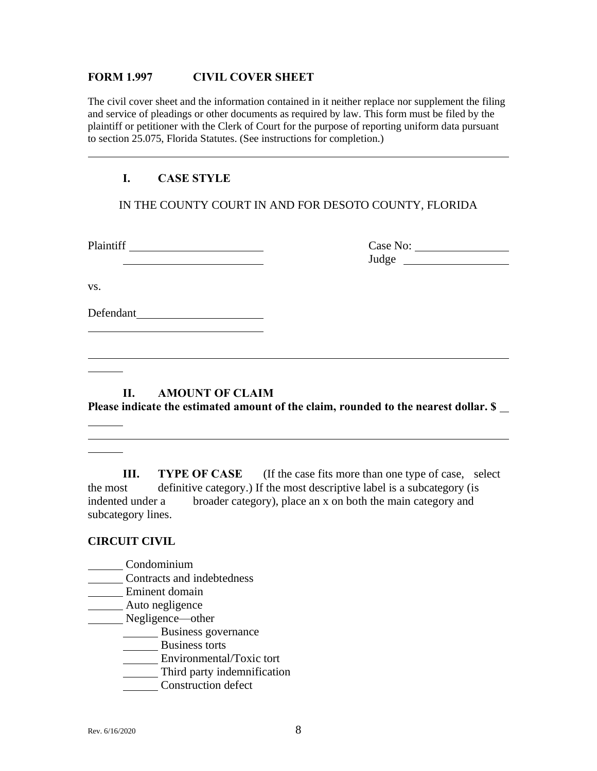#### **FORM 1.997 CIVIL COVER SHEET**

The civil cover sheet and the information contained in it neither replace nor supplement the filing and service of pleadings or other documents as required by law. This form must be filed by the plaintiff or petitioner with the Clerk of Court for the purpose of reporting uniform data pursuant to section 25.075, Florida Statutes. (See instructions for completion.)

## **I. CASE STYLE**

IN THE COUNTY COURT IN AND FOR DESOTO COUNTY, FLORIDA

Plaintiff Case No: Judge

vs.

Defendant

## **II. AMOUNT OF CLAIM**

**Please indicate the estimated amount of the claim, rounded to the nearest dollar. \$** 

**III. TYPE OF CASE** (If the case fits more than one type of case, select the most definitive category.) If the most descriptive label is a subcategory (is indented under a broader category), place an x on both the main category and subcategory lines.

## **CIRCUIT CIVIL**

 $\mathcal{L}^{\text{max}}$  . The  $\mathcal{L}^{\text{max}}$ 

- Condominium
- **Contracts and indebtedness**
- Eminent domain
- **Auto negligence**
- Negligence—other
	- Business governance
	- **Business torts**
	- **Environmental/Toxic tort**
	- Third party indemnification
	- Construction defect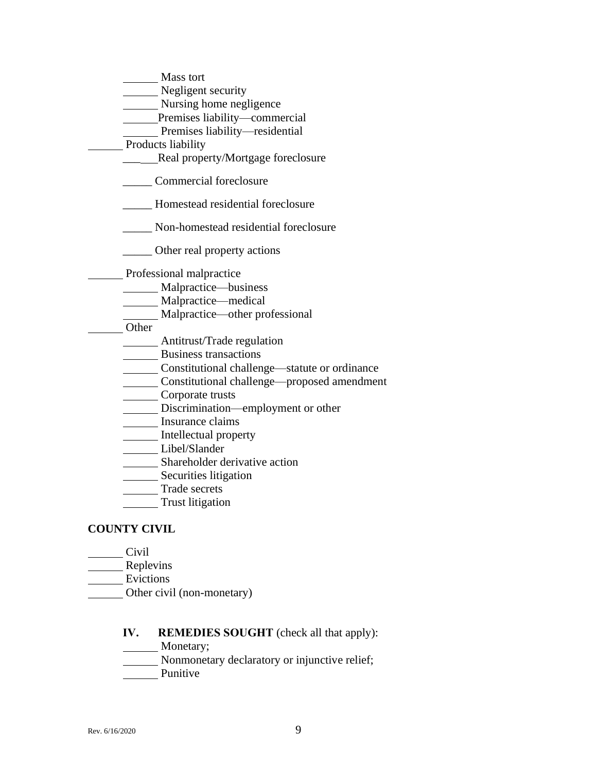| Mass tort                                     |
|-----------------------------------------------|
| Negligent security                            |
| Nursing home negligence                       |
| Premises liability—commercial                 |
| Premises liability—residential                |
| Products liability                            |
| Real property/Mortgage foreclosure            |
| Commercial foreclosure                        |
| Homestead residential foreclosure             |
| Non-homestead residential foreclosure         |
| _____ Other real property actions             |
| Professional malpractice                      |
| _Malpractice—business                         |
| Malpractice-medical                           |
| Malpractice—other professional                |
| Other                                         |
| Antitrust/Trade regulation                    |
| <b>Business transactions</b>                  |
| Constitutional challenge—statute or ordinance |
| Constitutional challenge—proposed amendment   |
| Corporate trusts                              |
| Discrimination—employment or other            |
| Insurance claims                              |
| Intellectual property                         |
| Libel/Slander                                 |
| Shareholder derivative action                 |
| Securities litigation                         |
| <b>Trade secrets</b>                          |
| <b>Trust</b> litigation                       |
| <b>OUNTY CIVIL</b>                            |

# **CC**

- Civil
- Replevins
- Evictions
- Other civil (non-monetary)

# **IV. REMEDIES SOUGHT** (check all that apply):

- Monetary;
- **Nonmonetary declaratory or injunctive relief;**
- **Punitive**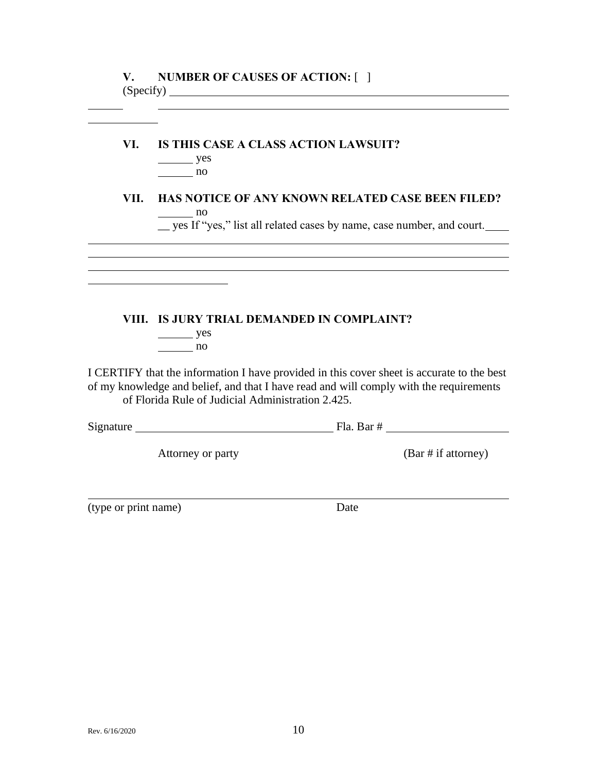# **VI. IS THIS CASE A CLASS ACTION LAWSUIT?**

| 'es |
|-----|
| 11O |

## **VII. HAS NOTICE OF ANY KNOWN RELATED CASE BEEN FILED?** no

\_\_ yes If "yes," list all related cases by name, case number, and court.

## **VIII. IS JURY TRIAL DEMANDED IN COMPLAINT?**

yes no

I CERTIFY that the information I have provided in this cover sheet is accurate to the best of my knowledge and belief, and that I have read and will comply with the requirements of Florida Rule of Judicial Administration 2.425.

| Signature | Fla.<br>Bar |
|-----------|-------------|
|-----------|-------------|

Attorney or party (Bar # if attorney)

(type or print name) Date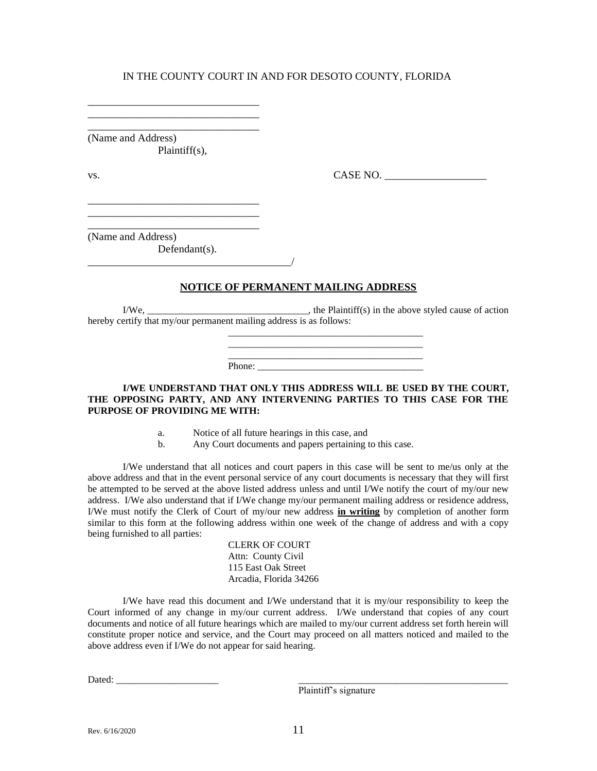\_\_\_\_\_\_\_\_\_\_\_\_\_\_\_\_\_\_\_\_\_\_\_\_\_\_\_\_\_\_\_\_ (Name and Address)

Plaintiff(s),

\_\_\_\_\_\_\_\_\_\_\_\_\_\_\_\_\_\_\_\_\_\_\_\_\_\_\_\_\_\_\_\_ \_\_\_\_\_\_\_\_\_\_\_\_\_\_\_\_\_\_\_\_\_\_\_\_\_\_\_\_\_\_\_\_ \_\_\_\_\_\_\_\_\_\_\_\_\_\_\_\_\_\_\_\_\_\_\_\_\_\_\_\_\_\_\_\_

\_\_\_\_\_\_\_\_\_\_\_\_\_\_\_\_\_\_\_\_\_\_\_\_\_\_\_\_\_\_\_\_ \_\_\_\_\_\_\_\_\_\_\_\_\_\_\_\_\_\_\_\_\_\_\_\_\_\_\_\_\_\_\_\_

vs. CASE NO. \_\_\_\_\_\_\_\_\_\_\_\_\_\_\_\_\_\_\_

(Name and Address)

Defendant(s). \_\_\_\_\_\_\_\_\_\_\_\_\_\_\_\_\_\_\_\_\_\_\_\_\_\_\_\_\_\_\_\_\_\_\_\_\_\_/

## **NOTICE OF PERMANENT MAILING ADDRESS**

 $I/We$ ,  $\qquad \qquad \qquad \qquad$  the Plaintiff(s) in the above styled cause of action hereby certify that my/our permanent mailing address is as follows:

> \_\_\_\_\_\_\_\_\_\_\_\_\_\_\_\_\_\_\_\_\_\_\_\_\_\_\_\_\_\_\_\_\_\_\_\_\_\_\_\_ \_\_\_\_\_\_\_\_\_\_\_\_\_\_\_\_\_\_\_\_\_\_\_\_\_\_\_\_\_\_\_\_\_\_\_\_\_\_\_\_  $\overline{\phantom{a}}$  , and the set of the set of the set of the set of the set of the set of the set of the set of the set of the set of the set of the set of the set of the set of the set of the set of the set of the set of the s

Phone:

#### **I/WE UNDERSTAND THAT ONLY THIS ADDRESS WILL BE USED BY THE COURT, THE OPPOSING PARTY, AND ANY INTERVENING PARTIES TO THIS CASE FOR THE PURPOSE OF PROVIDING ME WITH:**

- a. Notice of all future hearings in this case, and
- b. Any Court documents and papers pertaining to this case.

I/We understand that all notices and court papers in this case will be sent to me/us only at the above address and that in the event personal service of any court documents is necessary that they will first be attempted to be served at the above listed address unless and until I/We notify the court of my/our new address. I/We also understand that if I/We change my/our permanent mailing address or residence address, I/We must notify the Clerk of Court of my/our new address **in writing** by completion of another form similar to this form at the following address within one week of the change of address and with a copy being furnished to all parties:

> CLERK OF COURT Attn: County Civil 115 East Oak Street Arcadia, Florida 34266

I/We have read this document and I/We understand that it is my/our responsibility to keep the Court informed of any change in my/our current address. I/We understand that copies of any court documents and notice of all future hearings which are mailed to my/our current address set forth herein will constitute proper notice and service, and the Court may proceed on all matters noticed and mailed to the above address even if I/We do not appear for said hearing.

Dated: \_\_\_\_\_\_\_\_\_\_\_\_\_\_\_\_\_\_\_\_\_ \_\_\_\_\_\_\_\_\_\_\_\_\_\_\_\_\_\_\_\_\_\_\_\_\_\_\_\_\_\_\_\_\_\_\_\_\_\_\_\_\_\_\_

Plaintiff's signature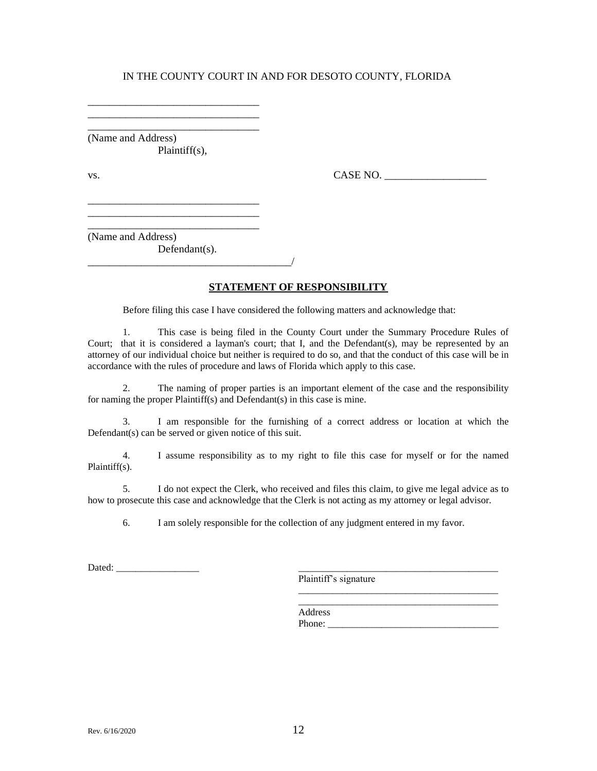\_\_\_\_\_\_\_\_\_\_\_\_\_\_\_\_\_\_\_\_\_\_\_\_\_\_\_\_\_\_\_\_ (Name and Address) Plaintiff(s),

\_\_\_\_\_\_\_\_\_\_\_\_\_\_\_\_\_\_\_\_\_\_\_\_\_\_\_\_\_\_\_\_ \_\_\_\_\_\_\_\_\_\_\_\_\_\_\_\_\_\_\_\_\_\_\_\_\_\_\_\_\_\_\_\_

\_\_\_\_\_\_\_\_\_\_\_\_\_\_\_\_\_\_\_\_\_\_\_\_\_\_\_\_\_\_\_\_ \_\_\_\_\_\_\_\_\_\_\_\_\_\_\_\_\_\_\_\_\_\_\_\_\_\_\_\_\_\_\_\_ \_\_\_\_\_\_\_\_\_\_\_\_\_\_\_\_\_\_\_\_\_\_\_\_\_\_\_\_\_\_\_\_

vs. CASE NO. \_\_\_\_\_\_\_\_\_\_\_\_\_\_\_\_\_\_\_

(Name and Address)

Defendant(s). \_\_\_\_\_\_\_\_\_\_\_\_\_\_\_\_\_\_\_\_\_\_\_\_\_\_\_\_\_\_\_\_\_\_\_\_\_\_/

#### **STATEMENT OF RESPONSIBILITY**

Before filing this case I have considered the following matters and acknowledge that:

1. This case is being filed in the County Court under the Summary Procedure Rules of Court; that it is considered a layman's court; that I, and the Defendant(s), may be represented by an attorney of our individual choice but neither is required to do so, and that the conduct of this case will be in accordance with the rules of procedure and laws of Florida which apply to this case.

2. The naming of proper parties is an important element of the case and the responsibility for naming the proper Plaintiff(s) and Defendant(s) in this case is mine.

3. I am responsible for the furnishing of a correct address or location at which the Defendant(s) can be served or given notice of this suit.

4. I assume responsibility as to my right to file this case for myself or for the named Plaintiff(s).

5. I do not expect the Clerk, who received and files this claim, to give me legal advice as to how to prosecute this case and acknowledge that the Clerk is not acting as my attorney or legal advisor.

6. I am solely responsible for the collection of any judgment entered in my favor.

Dated: \_\_\_\_\_\_\_\_\_\_\_\_\_\_\_\_\_ \_\_\_\_\_\_\_\_\_\_\_\_\_\_\_\_\_\_\_\_\_\_\_\_\_\_\_\_\_\_\_\_\_\_\_\_\_\_\_\_\_

Plaintiff's signature

\_\_\_\_\_\_\_\_\_\_\_\_\_\_\_\_\_\_\_\_\_\_\_\_\_\_\_\_\_\_\_\_\_\_\_\_\_\_\_\_\_ \_\_\_\_\_\_\_\_\_\_\_\_\_\_\_\_\_\_\_\_\_\_\_\_\_\_\_\_\_\_\_\_\_\_\_\_\_\_\_\_\_

Address Phone: \_\_\_\_\_\_\_\_\_\_\_\_\_\_\_\_\_\_\_\_\_\_\_\_\_\_\_\_\_\_\_\_\_\_\_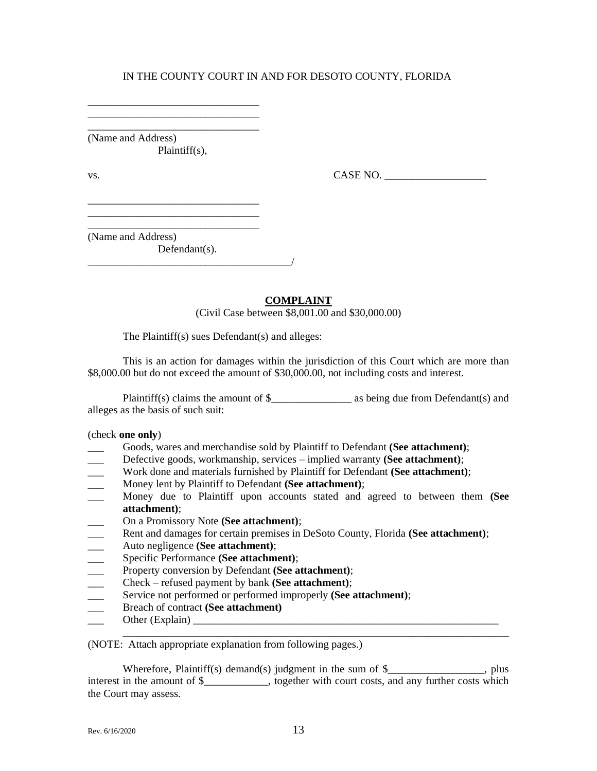(Name and Address) Plaintiff(s),

\_\_\_\_\_\_\_\_\_\_\_\_\_\_\_\_\_\_\_\_\_\_\_\_\_\_\_\_\_\_\_\_ \_\_\_\_\_\_\_\_\_\_\_\_\_\_\_\_\_\_\_\_\_\_\_\_\_\_\_\_\_\_\_\_ \_\_\_\_\_\_\_\_\_\_\_\_\_\_\_\_\_\_\_\_\_\_\_\_\_\_\_\_\_\_\_\_

\_\_\_\_\_\_\_\_\_\_\_\_\_\_\_\_\_\_\_\_\_\_\_\_\_\_\_\_\_\_\_\_ \_\_\_\_\_\_\_\_\_\_\_\_\_\_\_\_\_\_\_\_\_\_\_\_\_\_\_\_\_\_\_\_ \_\_\_\_\_\_\_\_\_\_\_\_\_\_\_\_\_\_\_\_\_\_\_\_\_\_\_\_\_\_\_\_

vs.  $\Box$ 

(Name and Address) Defendant(s).

\_\_\_\_\_\_\_\_\_\_\_\_\_\_\_\_\_\_\_\_\_\_\_\_\_\_\_\_\_\_\_\_\_\_\_\_\_\_/

#### **COMPLAINT**

(Civil Case between \$8,001.00 and \$30,000.00)

The Plaintiff(s) sues Defendant(s) and alleges:

This is an action for damages within the jurisdiction of this Court which are more than \$8,000.00 but do not exceed the amount of \$30,000.00, not including costs and interest.

Plaintiff(s) claims the amount of  $\$  as being due from Defendant(s) and alleges as the basis of such suit:

#### (check **one only**)

- \_\_\_ Goods, wares and merchandise sold by Plaintiff to Defendant **(See attachment)**;
- Defective goods, workmanship, services implied warranty **(See attachment)**;
- \_\_\_ Work done and materials furnished by Plaintiff for Defendant **(See attachment)**;
- \_\_\_ Money lent by Plaintiff to Defendant **(See attachment)**;
- \_\_\_ Money due to Plaintiff upon accounts stated and agreed to between them **(See attachment)**;
- \_\_\_ On a Promissory Note **(See attachment)**;
- \_\_\_ Rent and damages for certain premises in DeSoto County, Florida **(See attachment)**;
- \_\_\_ Auto negligence **(See attachment)**;
- \_\_\_ Specific Performance **(See attachment)**;
- 
- The Property conversion by Defendant **(See attachment)**;<br>
Check refused payment by bank **(See attachment)**; \_\_\_ Check – refused payment by bank **(See attachment)**;
- Service not performed or performed improperly **(See attachment)**;
- \_\_\_ Breach of contract **(See attachment)**
- \_\_\_ Other (Explain) \_\_\_\_\_\_\_\_\_\_\_\_\_\_\_\_\_\_\_\_\_\_\_\_\_\_\_\_\_\_\_\_\_\_\_\_\_\_\_\_\_\_\_\_\_\_\_\_\_\_\_\_\_\_\_\_\_

(NOTE: Attach appropriate explanation from following pages.)

Wherefore, Plaintiff(s) demand(s) judgment in the sum of \$\_\_\_\_\_\_\_\_\_\_\_\_\_\_\_\_, plus interest in the amount of \$\_\_\_\_\_\_\_\_\_\_, together with court costs, and any further costs which the Court may assess.

\_\_\_\_\_\_\_\_\_\_\_\_\_\_\_\_\_\_\_\_\_\_\_\_\_\_\_\_\_\_\_\_\_\_\_\_\_\_\_\_\_\_\_\_\_\_\_\_\_\_\_\_\_\_\_\_\_\_\_\_\_\_\_\_\_\_\_\_\_\_\_\_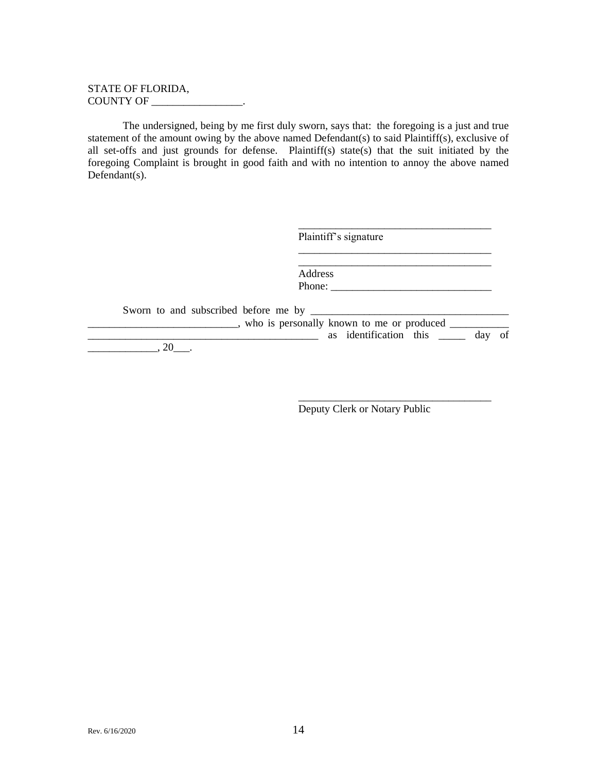#### STATE OF FLORIDA, COUNTY OF \_\_\_\_\_\_\_\_\_\_\_\_\_\_\_\_\_.

The undersigned, being by me first duly sworn, says that: the foregoing is a just and true statement of the amount owing by the above named Defendant(s) to said Plaintiff(s), exclusive of all set-offs and just grounds for defense. Plaintiff(s) state(s) that the suit initiated by the foregoing Complaint is brought in good faith and with no intention to annoy the above named Defendant(s).

|                                             | Plaintiff's signature                              |
|---------------------------------------------|----------------------------------------------------|
|                                             | Address                                            |
|                                             | Phone:                                             |
| Sworn to and subscribed before me by ______ |                                                    |
|                                             | _, who is personally known to me or produced _____ |
|                                             | as identification this ______ day of               |
|                                             |                                                    |

Deputy Clerk or Notary Public

\_\_\_\_\_\_\_\_\_\_\_\_\_\_\_\_\_\_\_\_\_\_\_\_\_\_\_\_\_\_\_\_\_\_\_\_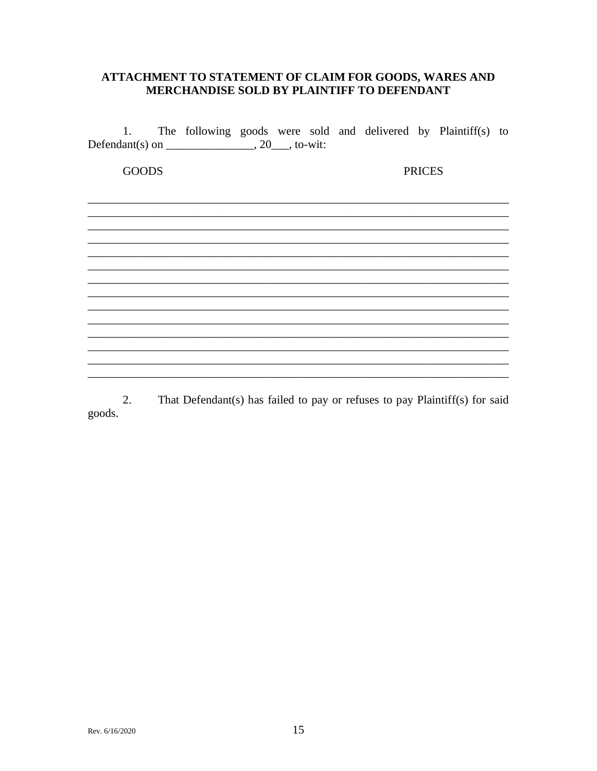## ATTACHMENT TO STATEMENT OF CLAIM FOR GOODS, WARES AND MERCHANDISE SOLD BY PLAINTIFF TO DEFENDANT

The following goods were sold and delivered by Plaintiff(s) to 1. 

**GOODS PRICES** 

That Defendant(s) has failed to pay or refuses to pay Plaintiff(s) for said 2. goods.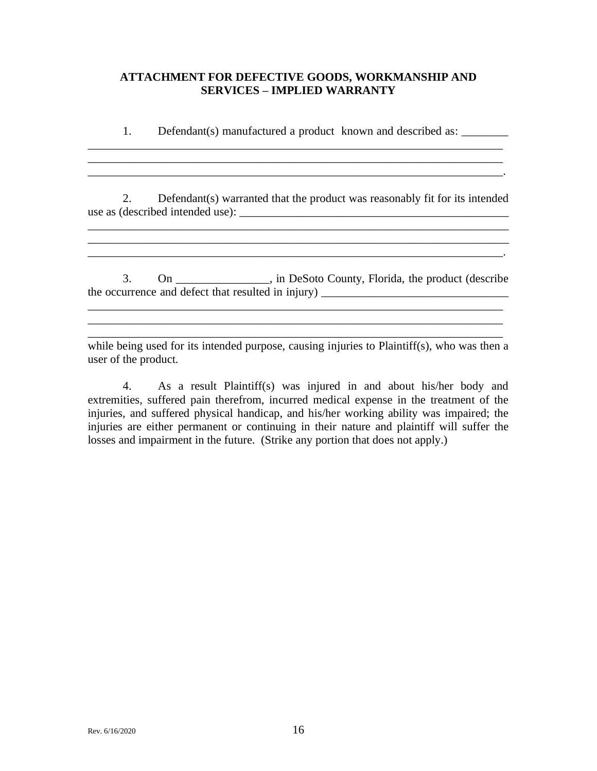## **ATTACHMENT FOR DEFECTIVE GOODS, WORKMANSHIP AND SERVICES – IMPLIED WARRANTY**

1. Defendant(s) manufactured a product known and described as: \_\_\_\_\_\_\_\_\_\_\_

 $\mathcal{L}_\text{max} = \mathcal{L}_\text{max} = \mathcal{L}_\text{max} = \mathcal{L}_\text{max} = \mathcal{L}_\text{max} = \mathcal{L}_\text{max} = \mathcal{L}_\text{max} = \mathcal{L}_\text{max} = \mathcal{L}_\text{max} = \mathcal{L}_\text{max} = \mathcal{L}_\text{max} = \mathcal{L}_\text{max} = \mathcal{L}_\text{max} = \mathcal{L}_\text{max} = \mathcal{L}_\text{max} = \mathcal{L}_\text{max} = \mathcal{L}_\text{max} = \mathcal{L}_\text{max} = \mathcal{$ \_\_\_\_\_\_\_\_\_\_\_\_\_\_\_\_\_\_\_\_\_\_\_\_\_\_\_\_\_\_\_\_\_\_\_\_\_\_\_\_\_\_\_\_\_\_\_\_\_\_\_\_\_\_\_\_\_\_\_\_\_\_\_\_\_\_\_\_\_\_\_.

\_\_\_\_\_\_\_\_\_\_\_\_\_\_\_\_\_\_\_\_\_\_\_\_\_\_\_\_\_\_\_\_\_\_\_\_\_\_\_\_\_\_\_\_\_\_\_\_\_\_\_\_\_\_\_\_\_\_\_\_\_\_\_\_\_\_\_\_\_\_\_

2. Defendant(s) warranted that the product was reasonably fit for its intended use as (described intended use): \_\_\_\_\_\_\_\_\_\_\_\_\_\_\_\_\_\_\_\_\_\_\_\_\_\_\_\_\_\_\_\_\_\_\_\_\_\_\_\_\_\_\_\_\_\_

 $\mathcal{L}_\text{max}$  , and the set of the set of the set of the set of the set of the set of the set of the set of the set of the set of the set of the set of the set of the set of the set of the set of the set of the set of the \_\_\_\_\_\_\_\_\_\_\_\_\_\_\_\_\_\_\_\_\_\_\_\_\_\_\_\_\_\_\_\_\_\_\_\_\_\_\_\_\_\_\_\_\_\_\_\_\_\_\_\_\_\_\_\_\_\_\_\_\_\_\_\_\_\_\_\_\_\_\_.

 $\mathcal{L}_\mathcal{L} = \{ \mathcal{L}_\mathcal{L} = \{ \mathcal{L}_\mathcal{L} = \{ \mathcal{L}_\mathcal{L} = \{ \mathcal{L}_\mathcal{L} = \{ \mathcal{L}_\mathcal{L} = \{ \mathcal{L}_\mathcal{L} = \{ \mathcal{L}_\mathcal{L} = \{ \mathcal{L}_\mathcal{L} = \{ \mathcal{L}_\mathcal{L} = \{ \mathcal{L}_\mathcal{L} = \{ \mathcal{L}_\mathcal{L} = \{ \mathcal{L}_\mathcal{L} = \{ \mathcal{L}_\mathcal{L} = \{ \mathcal{L}_\mathcal{$ 

3. On \_\_\_\_\_\_\_\_\_\_\_\_\_\_\_\_, in DeSoto County, Florida, the product (describe the occurrence and defect that resulted in injury) \_\_\_\_\_\_\_\_\_\_\_\_\_\_\_\_\_\_\_\_\_\_\_\_\_\_\_\_\_\_\_\_

while being used for its intended purpose, causing injuries to Plaintiff(s), who was then a user of the product.

 $\mathcal{L}_\mathcal{L} = \{ \mathcal{L}_\mathcal{L} = \{ \mathcal{L}_\mathcal{L} = \{ \mathcal{L}_\mathcal{L} = \{ \mathcal{L}_\mathcal{L} = \{ \mathcal{L}_\mathcal{L} = \{ \mathcal{L}_\mathcal{L} = \{ \mathcal{L}_\mathcal{L} = \{ \mathcal{L}_\mathcal{L} = \{ \mathcal{L}_\mathcal{L} = \{ \mathcal{L}_\mathcal{L} = \{ \mathcal{L}_\mathcal{L} = \{ \mathcal{L}_\mathcal{L} = \{ \mathcal{L}_\mathcal{L} = \{ \mathcal{L}_\mathcal{$ \_\_\_\_\_\_\_\_\_\_\_\_\_\_\_\_\_\_\_\_\_\_\_\_\_\_\_\_\_\_\_\_\_\_\_\_\_\_\_\_\_\_\_\_\_\_\_\_\_\_\_\_\_\_\_\_\_\_\_\_\_\_\_\_\_\_\_\_\_\_\_

4. As a result Plaintiff(s) was injured in and about his/her body and extremities, suffered pain therefrom, incurred medical expense in the treatment of the injuries, and suffered physical handicap, and his/her working ability was impaired; the injuries are either permanent or continuing in their nature and plaintiff will suffer the losses and impairment in the future. (Strike any portion that does not apply.)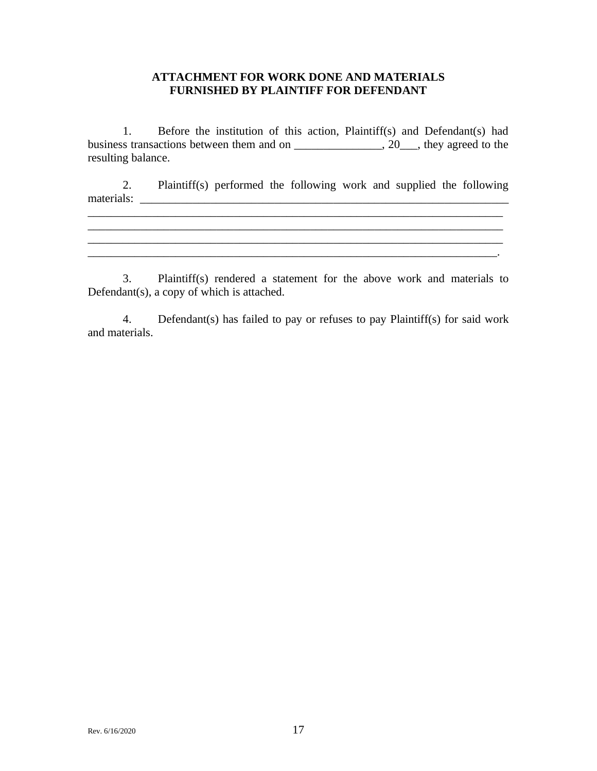## **ATTACHMENT FOR WORK DONE AND MATERIALS FURNISHED BY PLAINTIFF FOR DEFENDANT**

1. Before the institution of this action, Plaintiff(s) and Defendant(s) had business transactions between them and on \_\_\_\_\_\_\_\_\_\_\_\_\_\_\_, 20\_\_\_, they agreed to the resulting balance.

2. Plaintiff(s) performed the following work and supplied the following materials: \_\_\_\_\_\_\_\_\_\_\_\_\_\_\_\_\_\_\_\_\_\_\_\_\_\_\_\_\_\_\_\_\_\_\_\_\_\_\_\_\_\_\_\_\_\_\_\_\_\_\_\_\_\_\_\_\_\_\_\_\_\_\_

 $\mathcal{L}_\mathcal{L} = \mathcal{L}_\mathcal{L} = \mathcal{L}_\mathcal{L} = \mathcal{L}_\mathcal{L} = \mathcal{L}_\mathcal{L} = \mathcal{L}_\mathcal{L} = \mathcal{L}_\mathcal{L} = \mathcal{L}_\mathcal{L} = \mathcal{L}_\mathcal{L} = \mathcal{L}_\mathcal{L} = \mathcal{L}_\mathcal{L} = \mathcal{L}_\mathcal{L} = \mathcal{L}_\mathcal{L} = \mathcal{L}_\mathcal{L} = \mathcal{L}_\mathcal{L} = \mathcal{L}_\mathcal{L} = \mathcal{L}_\mathcal{L}$  $\mathcal{L}_\mathcal{L} = \mathcal{L}_\mathcal{L} = \mathcal{L}_\mathcal{L} = \mathcal{L}_\mathcal{L} = \mathcal{L}_\mathcal{L} = \mathcal{L}_\mathcal{L} = \mathcal{L}_\mathcal{L} = \mathcal{L}_\mathcal{L} = \mathcal{L}_\mathcal{L} = \mathcal{L}_\mathcal{L} = \mathcal{L}_\mathcal{L} = \mathcal{L}_\mathcal{L} = \mathcal{L}_\mathcal{L} = \mathcal{L}_\mathcal{L} = \mathcal{L}_\mathcal{L} = \mathcal{L}_\mathcal{L} = \mathcal{L}_\mathcal{L}$ 

 $\mathcal{L}_\mathcal{L} = \mathcal{L}_\mathcal{L} = \mathcal{L}_\mathcal{L} = \mathcal{L}_\mathcal{L} = \mathcal{L}_\mathcal{L} = \mathcal{L}_\mathcal{L} = \mathcal{L}_\mathcal{L} = \mathcal{L}_\mathcal{L} = \mathcal{L}_\mathcal{L} = \mathcal{L}_\mathcal{L} = \mathcal{L}_\mathcal{L} = \mathcal{L}_\mathcal{L} = \mathcal{L}_\mathcal{L} = \mathcal{L}_\mathcal{L} = \mathcal{L}_\mathcal{L} = \mathcal{L}_\mathcal{L} = \mathcal{L}_\mathcal{L}$ 

3. Plaintiff(s) rendered a statement for the above work and materials to Defendant(s), a copy of which is attached.

4. Defendant(s) has failed to pay or refuses to pay Plaintiff(s) for said work and materials.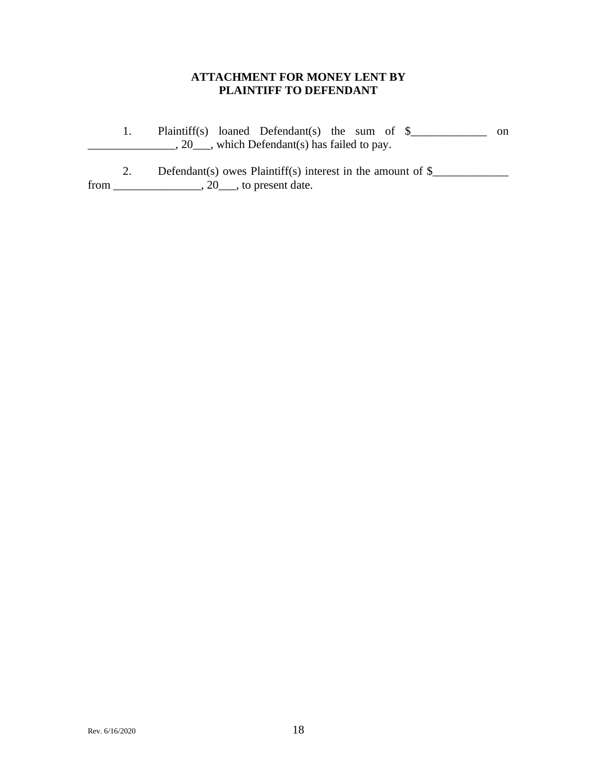## **ATTACHMENT FOR MONEY LENT BY PLAINTIFF TO DEFENDANT**

1. Plaintiff(s) loaned Defendant(s) the sum of \$\_\_\_\_\_\_\_\_\_\_\_\_\_\_ on  $\frac{1}{20}$ , which Defendant(s) has failed to pay. 2. Defendant(s) owes Plaintiff(s) interest in the amount of  $\frac{8}{2}$ 

from \_\_\_\_\_\_\_\_\_\_\_\_\_\_\_, 20\_\_\_, to present date.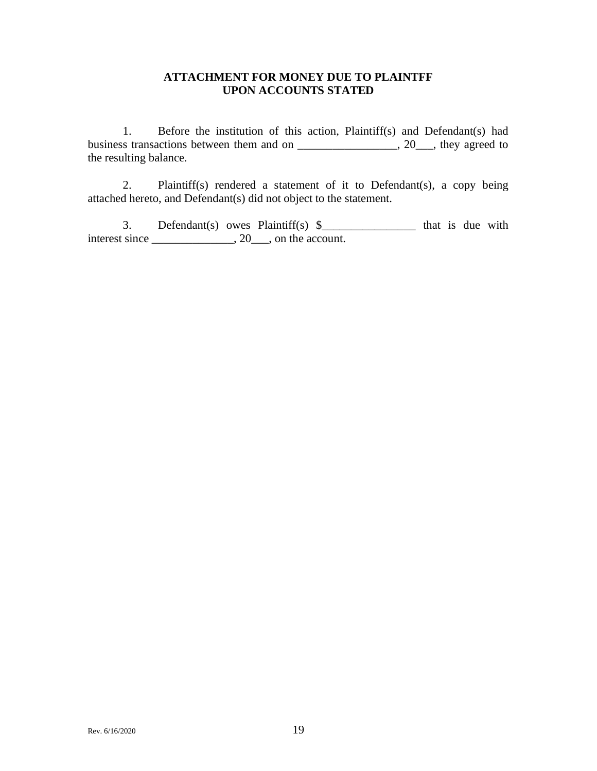## **ATTACHMENT FOR MONEY DUE TO PLAINTFF UPON ACCOUNTS STATED**

1. Before the institution of this action, Plaintiff(s) and Defendant(s) had business transactions between them and on \_\_\_\_\_\_\_\_\_\_\_\_\_\_\_\_\_, 20\_\_\_, they agreed to the resulting balance.

2. Plaintiff(s) rendered a statement of it to Defendant(s), a copy being attached hereto, and Defendant(s) did not object to the statement.

3. Defendant(s) owes Plaintiff(s)  $\frac{1}{2}$  that is due with interest since \_\_\_\_\_\_\_\_\_\_\_\_\_, 20\_\_\_, on the account.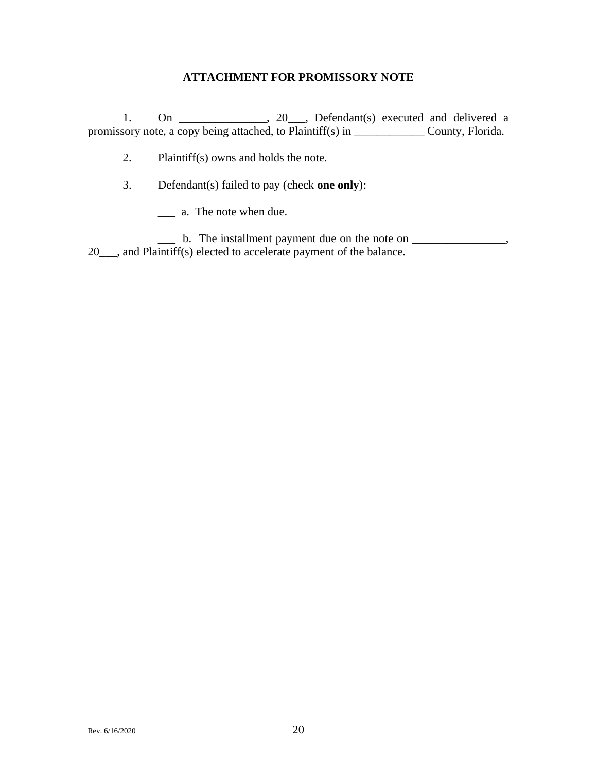## **ATTACHMENT FOR PROMISSORY NOTE**

1. On  $\frac{1}{\sqrt{1-\frac{1}{\sqrt{1-\frac{1}{\sqrt{1-\frac{1}{\sqrt{1-\frac{1}{\sqrt{1-\frac{1}{\sqrt{1-\frac{1}{\sqrt{1-\frac{1}{\sqrt{1-\frac{1}{\sqrt{1-\frac{1}{\sqrt{1-\frac{1}{\sqrt{1-\frac{1}{\sqrt{1-\frac{1}{\sqrt{1-\frac{1}{\sqrt{1-\frac{1}{\sqrt{1-\frac{1}{\sqrt{1-\frac{1}{\sqrt{1-\frac{1}{\sqrt{1-\frac{1}{\sqrt{1-\frac{1}{\sqrt{1-\frac{1}{\sqrt{1-\frac{1}{\sqrt{1-\frac{1}{\sqrt{1-\frac{1}{\sqrt$ promissory note, a copy being attached, to Plaintiff(s) in \_\_\_\_\_\_\_\_\_\_\_\_\_\_\_\_\_\_\_\_\_\_ County, Florida.

2. Plaintiff(s) owns and holds the note.

3. Defendant(s) failed to pay (check **one only**):

\_\_\_ a. The note when due.

\_\_\_ b. The installment payment due on the note on \_\_\_\_\_\_\_\_\_\_\_\_\_\_\_\_, 20\_\_\_, and Plaintiff(s) elected to accelerate payment of the balance.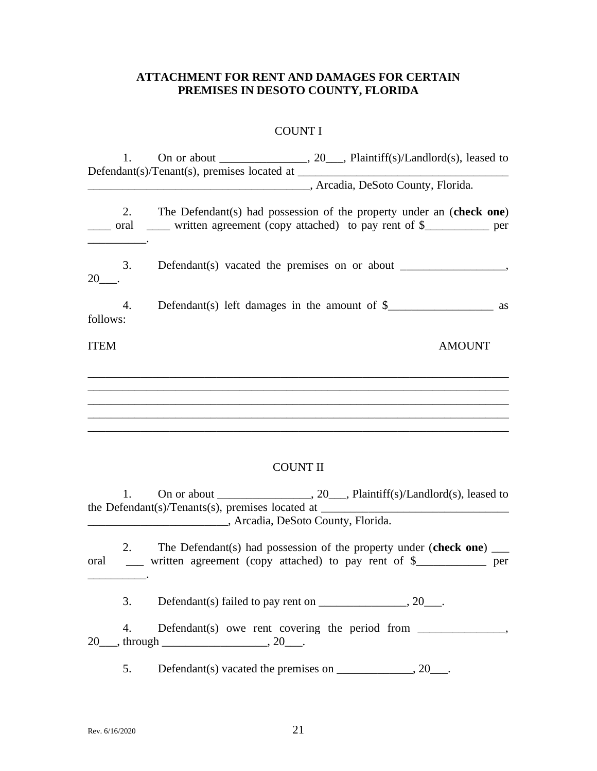# **ATTACHMENT FOR RENT AND DAMAGES FOR CERTAIN PREMISES IN DESOTO COUNTY, FLORIDA**

# COUNT I

|             |    | 1. On or about _____________________, 20____, Plaintiff(s)/Landlord(s), leased to<br>Arcadia, DeSoto County, Florida.                                      |
|-------------|----|------------------------------------------------------------------------------------------------------------------------------------------------------------|
|             |    | 2. The Defendant(s) had possession of the property under an (check one)<br>oral ______ written agreement (copy attached) to pay rent of \$____________ per |
| $20$ ____.  | 3. |                                                                                                                                                            |
| follows:    | 4. |                                                                                                                                                            |
| <b>ITEM</b> |    | <b>AMOUNT</b>                                                                                                                                              |
|             |    | <b>COUNT II</b>                                                                                                                                            |
|             |    |                                                                                                                                                            |
|             | 1. | the Defendant(s)/Tenants(s), premises located at ________________________________                                                                          |
| oral        | 2. | The Defendant(s) had possession of the property under (check one) $\qquad$<br>__ written agreement (copy attached) to pay rent of \$__________ per         |
|             | 3. |                                                                                                                                                            |
|             | 4. |                                                                                                                                                            |
|             | 5. |                                                                                                                                                            |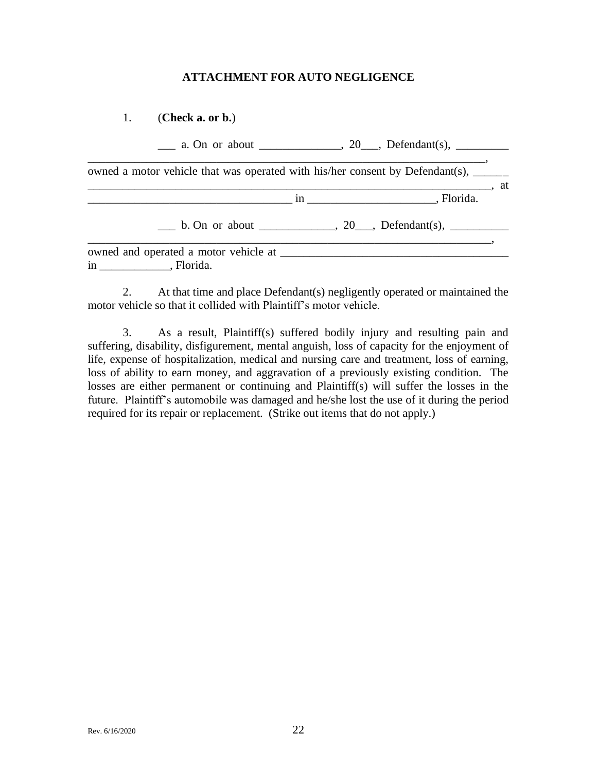## **ATTACHMENT FOR AUTO NEGLIGENCE**

1. (**Check a. or b.**)

|                                                                                                                                                                                                                                                    | $\frac{\ }{}$ a. On or about _______________, 20___, Defendant(s), ________ |
|----------------------------------------------------------------------------------------------------------------------------------------------------------------------------------------------------------------------------------------------------|-----------------------------------------------------------------------------|
| owned a motor vehicle that was operated with his/her consent by Defendant(s), ______                                                                                                                                                               |                                                                             |
|                                                                                                                                                                                                                                                    | $\cdot$ at                                                                  |
|                                                                                                                                                                                                                                                    | b. On or about ______________, 20___, Defendant(s), __________              |
| owned and operated a motor vehicle at <b>Exercise</b> 2012 11:00 at 2012 12:00 and 2012 12:00 and 2012 12:00 and 2012 12:00 and 2012 12:00 and 2012 12:00 and 2012 12:00 and 2012 12:00 and 2012 12:00 and 2012 12:00 and 2012 12:0<br>in Florida. |                                                                             |

2. At that time and place Defendant(s) negligently operated or maintained the motor vehicle so that it collided with Plaintiff's motor vehicle.

3. As a result, Plaintiff(s) suffered bodily injury and resulting pain and suffering, disability, disfigurement, mental anguish, loss of capacity for the enjoyment of life, expense of hospitalization, medical and nursing care and treatment, loss of earning, loss of ability to earn money, and aggravation of a previously existing condition. The losses are either permanent or continuing and Plaintiff(s) will suffer the losses in the future. Plaintiff's automobile was damaged and he/she lost the use of it during the period required for its repair or replacement. (Strike out items that do not apply.)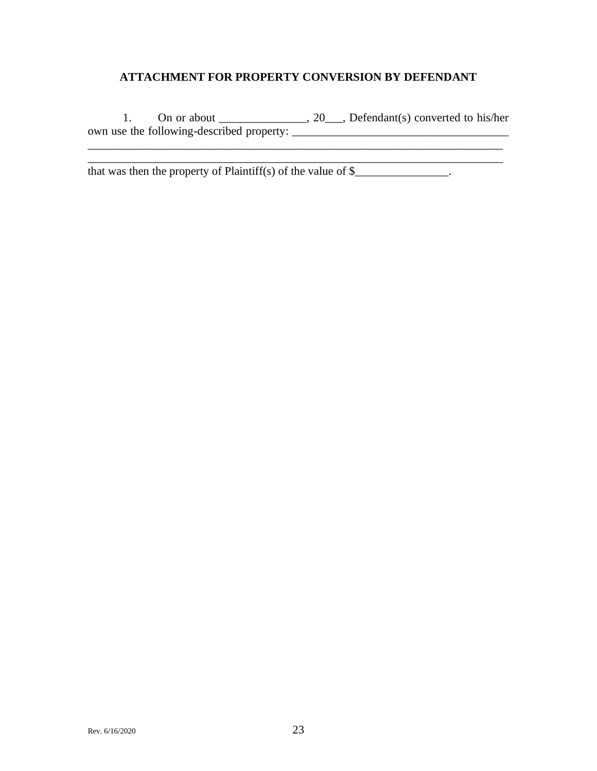# **ATTACHMENT FOR PROPERTY CONVERSION BY DEFENDANT**

1. On or about  $\frac{1}{\sqrt{1-\frac{1}{n}}}\cos(2\theta)$ , Defendant(s) converted to his/her own use the following-described property: \_\_\_\_\_\_\_\_\_\_\_\_\_\_\_\_\_\_\_\_\_\_\_\_\_\_\_\_\_\_\_\_\_\_\_\_\_ \_\_\_\_\_\_\_\_\_\_\_\_\_\_\_\_\_\_\_\_\_\_\_\_\_\_\_\_\_\_\_\_\_\_\_\_\_\_\_\_\_\_\_\_\_\_\_\_\_\_\_\_\_\_\_\_\_\_\_\_\_\_\_\_\_\_\_\_\_\_\_

\_\_\_\_\_\_\_\_\_\_\_\_\_\_\_\_\_\_\_\_\_\_\_\_\_\_\_\_\_\_\_\_\_\_\_\_\_\_\_\_\_\_\_\_\_\_\_\_\_\_\_\_\_\_\_\_\_\_\_\_\_\_\_\_\_\_\_\_\_\_\_

that was then the property of Plaintiff(s) of the value of  $\frac{1}{2}$ .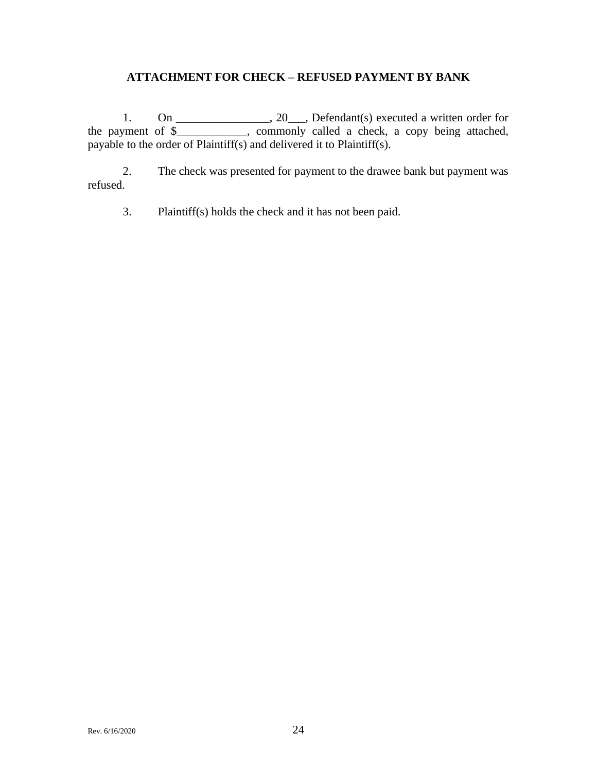# **ATTACHMENT FOR CHECK – REFUSED PAYMENT BY BANK**

1. On  $\frac{1}{\sqrt{2}}$ , 20, Defendant(s) executed a written order for the payment of \$\_\_\_\_\_\_\_\_\_\_\_\_, commonly called a check, a copy being attached, payable to the order of Plaintiff(s) and delivered it to Plaintiff(s).

2. The check was presented for payment to the drawee bank but payment was refused.

3. Plaintiff(s) holds the check and it has not been paid.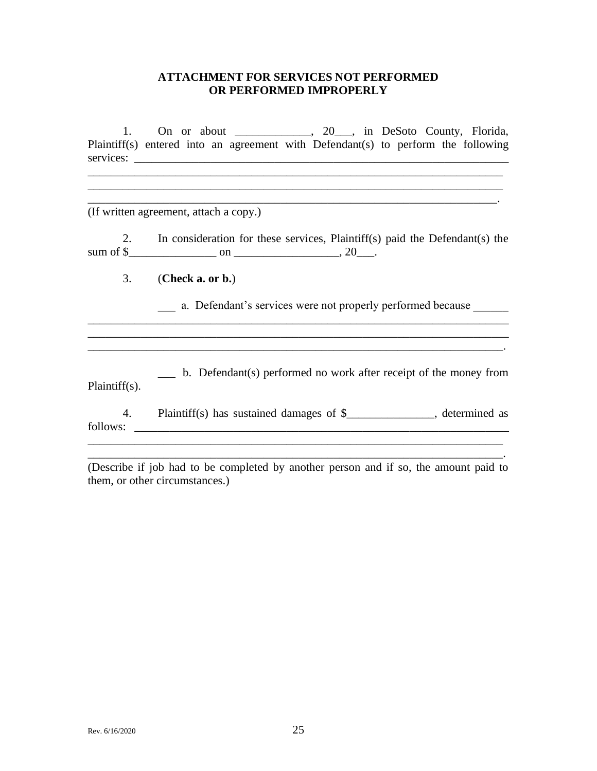## **ATTACHMENT FOR SERVICES NOT PERFORMED OR PERFORMED IMPROPERLY**

1. On or about \_\_\_\_\_\_\_\_\_\_, 20\_\_, in DeSoto County, Florida, Plaintiff(s) entered into an agreement with Defendant(s) to perform the following services: \_\_\_\_\_\_\_\_\_\_\_\_\_\_\_\_\_\_\_\_\_\_\_\_\_\_\_\_\_\_\_\_\_\_\_\_\_\_\_\_\_\_\_\_\_\_\_\_\_\_\_\_\_\_\_\_\_\_\_\_\_\_\_\_

 $\overline{\phantom{a}}$  , and the contribution of the contribution of the contribution of the contribution of the contribution of the contribution of the contribution of the contribution of the contribution of the contribution of the

 $\mathcal{L}_\text{max}$  and the contract of the contract of the contract of the contract of the contract of the contract of

(If written agreement, attach a copy.)

2. In consideration for these services, Plaintiff(s) paid the Defendant(s) the sum of \$ $\qquad \qquad$  on  $\qquad \qquad$ , 20

3. (**Check a. or b.**)

a. Defendant's services were not properly performed because

\_\_\_ b. Defendant(s) performed no work after receipt of the money from Plaintiff(s).

 $\mathcal{L}_\mathcal{L} = \mathcal{L}_\mathcal{L} = \mathcal{L}_\mathcal{L} = \mathcal{L}_\mathcal{L} = \mathcal{L}_\mathcal{L} = \mathcal{L}_\mathcal{L} = \mathcal{L}_\mathcal{L} = \mathcal{L}_\mathcal{L} = \mathcal{L}_\mathcal{L} = \mathcal{L}_\mathcal{L} = \mathcal{L}_\mathcal{L} = \mathcal{L}_\mathcal{L} = \mathcal{L}_\mathcal{L} = \mathcal{L}_\mathcal{L} = \mathcal{L}_\mathcal{L} = \mathcal{L}_\mathcal{L} = \mathcal{L}_\mathcal{L}$ 

4. Plaintiff(s) has sustained damages of \$\_\_\_\_\_\_\_\_\_\_\_\_\_\_\_, determined as follows: \_\_\_\_\_\_\_\_\_\_\_\_\_\_\_\_\_\_\_\_\_\_\_\_\_\_\_\_\_\_\_\_\_\_\_\_\_\_\_\_\_\_\_\_\_\_\_\_\_\_\_\_\_\_\_\_\_\_\_\_\_\_\_\_

(Describe if job had to be completed by another person and if so, the amount paid to them, or other circumstances.)

\_\_\_\_\_\_\_\_\_\_\_\_\_\_\_\_\_\_\_\_\_\_\_\_\_\_\_\_\_\_\_\_\_\_\_\_\_\_\_\_\_\_\_\_\_\_\_\_\_\_\_\_\_\_\_\_\_\_\_\_\_\_\_\_\_\_\_\_\_\_\_.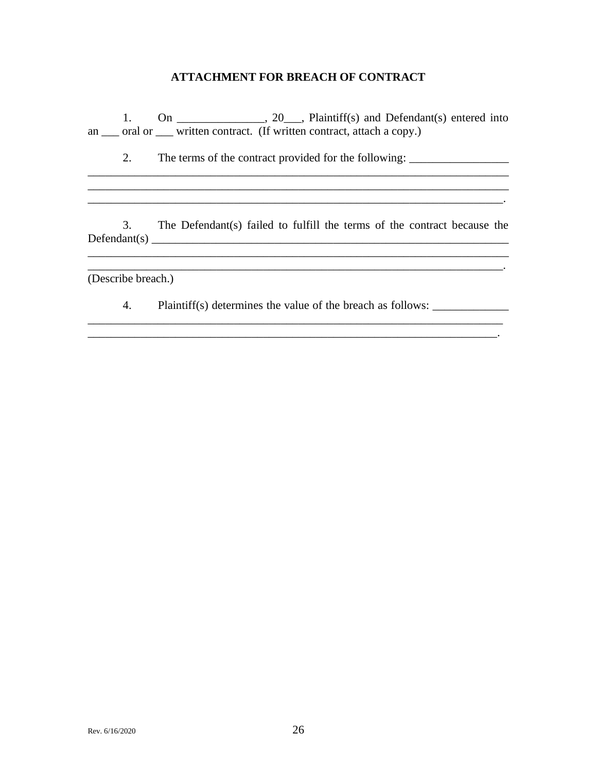## **ATTACHMENT FOR BREACH OF CONTRACT**

1. On  $\frac{1}{\sqrt{2}}$ , 20, Plaintiff(s) and Defendant(s) entered into an \_\_\_ oral or \_\_\_ written contract. (If written contract, attach a copy.)

\_\_\_\_\_\_\_\_\_\_\_\_\_\_\_\_\_\_\_\_\_\_\_\_\_\_\_\_\_\_\_\_\_\_\_\_\_\_\_\_\_\_\_\_\_\_\_\_\_\_\_\_\_\_\_\_\_\_\_\_\_\_\_\_\_\_\_\_\_\_\_\_  $\mathcal{L}_\mathcal{L} = \{ \mathcal{L}_\mathcal{L} = \{ \mathcal{L}_\mathcal{L} = \{ \mathcal{L}_\mathcal{L} = \{ \mathcal{L}_\mathcal{L} = \{ \mathcal{L}_\mathcal{L} = \{ \mathcal{L}_\mathcal{L} = \{ \mathcal{L}_\mathcal{L} = \{ \mathcal{L}_\mathcal{L} = \{ \mathcal{L}_\mathcal{L} = \{ \mathcal{L}_\mathcal{L} = \{ \mathcal{L}_\mathcal{L} = \{ \mathcal{L}_\mathcal{L} = \{ \mathcal{L}_\mathcal{L} = \{ \mathcal{L}_\mathcal{$ \_\_\_\_\_\_\_\_\_\_\_\_\_\_\_\_\_\_\_\_\_\_\_\_\_\_\_\_\_\_\_\_\_\_\_\_\_\_\_\_\_\_\_\_\_\_\_\_\_\_\_\_\_\_\_\_\_\_\_\_\_\_\_\_\_\_\_\_\_\_\_.

2. The terms of the contract provided for the following: \_\_\_\_\_\_\_\_\_\_\_\_\_\_\_\_\_\_\_\_\_\_\_\_

3. The Defendant(s) failed to fulfill the terms of the contract because the Defendant(s) \_\_\_\_\_\_\_\_\_\_\_\_\_\_\_\_\_\_\_\_\_\_\_\_\_\_\_\_\_\_\_\_\_\_\_\_\_\_\_\_\_\_\_\_\_\_\_\_\_\_\_\_\_\_\_\_\_\_\_\_\_

 $\mathcal{L}_\mathcal{L} = \mathcal{L}_\mathcal{L} = \mathcal{L}_\mathcal{L} = \mathcal{L}_\mathcal{L} = \mathcal{L}_\mathcal{L} = \mathcal{L}_\mathcal{L} = \mathcal{L}_\mathcal{L} = \mathcal{L}_\mathcal{L} = \mathcal{L}_\mathcal{L} = \mathcal{L}_\mathcal{L} = \mathcal{L}_\mathcal{L} = \mathcal{L}_\mathcal{L} = \mathcal{L}_\mathcal{L} = \mathcal{L}_\mathcal{L} = \mathcal{L}_\mathcal{L} = \mathcal{L}_\mathcal{L} = \mathcal{L}_\mathcal{L}$ 

\_\_\_\_\_\_\_\_\_\_\_\_\_\_\_\_\_\_\_\_\_\_\_\_\_\_\_\_\_\_\_\_\_\_\_\_\_\_\_\_\_\_\_\_\_\_\_\_\_\_\_\_\_\_\_\_\_\_\_\_\_\_\_\_\_\_\_\_\_\_\_.

 $\mathcal{L}_\text{max}$  and  $\mathcal{L}_\text{max}$  and  $\mathcal{L}_\text{max}$  and  $\mathcal{L}_\text{max}$ 

(Describe breach.)

4. Plaintiff(s) determines the value of the breach as follows: \_\_\_\_\_\_\_\_\_\_\_\_\_\_\_\_\_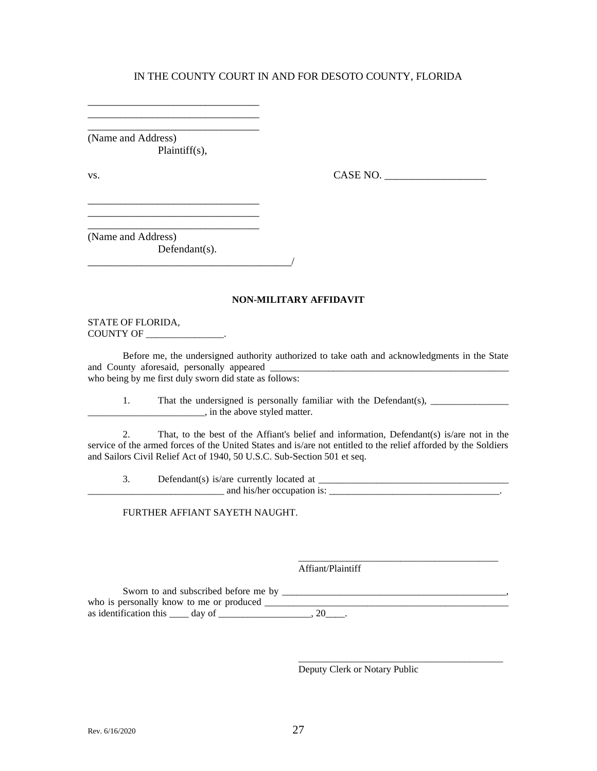(Name and Address) Plaintiff(s),

\_\_\_\_\_\_\_\_\_\_\_\_\_\_\_\_\_\_\_\_\_\_\_\_\_\_\_\_\_\_\_\_ \_\_\_\_\_\_\_\_\_\_\_\_\_\_\_\_\_\_\_\_\_\_\_\_\_\_\_\_\_\_\_\_ \_\_\_\_\_\_\_\_\_\_\_\_\_\_\_\_\_\_\_\_\_\_\_\_\_\_\_\_\_\_\_\_

\_\_\_\_\_\_\_\_\_\_\_\_\_\_\_\_\_\_\_\_\_\_\_\_\_\_\_\_\_\_\_\_ \_\_\_\_\_\_\_\_\_\_\_\_\_\_\_\_\_\_\_\_\_\_\_\_\_\_\_\_\_\_\_\_ \_\_\_\_\_\_\_\_\_\_\_\_\_\_\_\_\_\_\_\_\_\_\_\_\_\_\_\_\_\_\_\_

\_\_\_\_\_\_\_\_\_\_\_\_\_\_\_\_\_\_\_\_\_\_\_\_\_\_\_\_\_\_\_\_\_\_\_\_\_\_/

vs. CASE NO. \_\_\_\_\_\_\_\_\_\_\_\_\_\_\_\_\_\_\_

(Name and Address) Defendant(s).

#### **NON-MILITARY AFFIDAVIT**

STATE OF FLORIDA, COUNTY OF \_\_\_\_\_\_\_\_\_\_\_\_\_\_\_\_.

Before me, the undersigned authority authorized to take oath and acknowledgments in the State and County aforesaid, personally appeared who being by me first duly sworn did state as follows:

1. That the undersigned is personally familiar with the Defendant(s), \_\_\_\_\_\_\_\_\_\_\_\_\_\_\_\_  $\blacksquare$ , in the above styled matter.

2. That, to the best of the Affiant's belief and information, Defendant(s) is/are not in the service of the armed forces of the United States and is/are not entitled to the relief afforded by the Soldiers and Sailors Civil Relief Act of 1940, 50 U.S.C. Sub-Section 501 et seq.

3. Defendant(s) is/are currently located at \_\_\_\_\_\_\_\_\_\_\_\_\_\_\_\_\_\_\_\_\_\_\_\_\_\_\_\_\_\_\_\_\_\_\_\_\_\_\_  $\blacksquare$  and his/her occupation is:  $\blacksquare$ 

FURTHER AFFIANT SAYETH NAUGHT.

Affiant/Plaintiff

Sworn to and subscribed before me by \_\_\_\_\_\_\_\_\_\_\_\_\_\_\_\_\_\_\_\_\_\_\_\_\_\_\_\_\_\_\_\_\_\_\_\_\_\_\_\_\_\_\_\_\_\_, who is personally know to me or produced \_\_\_\_\_\_\_\_\_\_\_\_\_\_\_\_\_\_\_\_\_\_\_\_\_\_\_\_\_\_\_\_\_\_\_\_\_\_\_\_\_\_\_\_\_\_\_\_\_\_ as identification this  $\_\_\_$  day of  $\_\_\_\_\_\_\_\_\_$ . 20 $\_\_\_\_\.\$ 

Deputy Clerk or Notary Public

\_\_\_\_\_\_\_\_\_\_\_\_\_\_\_\_\_\_\_\_\_\_\_\_\_\_\_\_\_\_\_\_\_\_\_\_\_\_\_\_\_

\_\_\_\_\_\_\_\_\_\_\_\_\_\_\_\_\_\_\_\_\_\_\_\_\_\_\_\_\_\_\_\_\_\_\_\_\_\_\_\_\_\_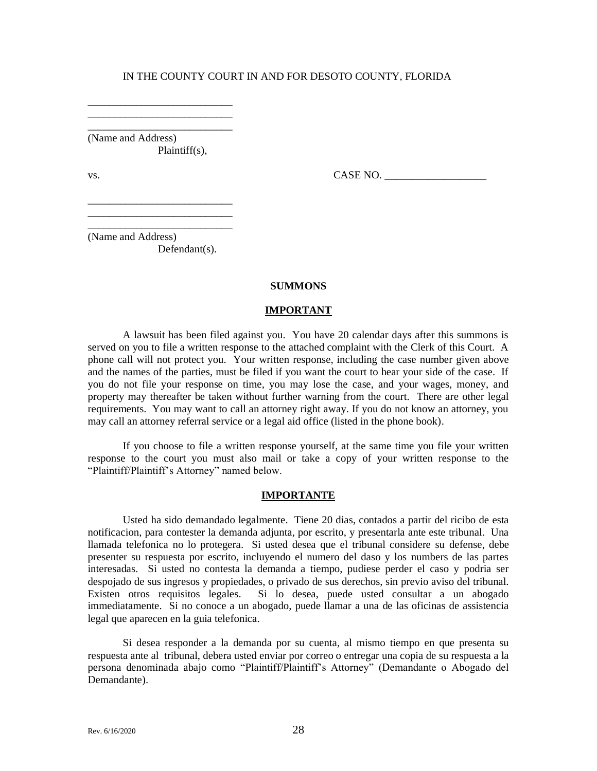\_\_\_\_\_\_\_\_\_\_\_\_\_\_\_\_\_\_\_\_\_\_\_\_\_\_\_ (Name and Address) Plaintiff(s),

\_\_\_\_\_\_\_\_\_\_\_\_\_\_\_\_\_\_\_\_\_\_\_\_\_\_\_ \_\_\_\_\_\_\_\_\_\_\_\_\_\_\_\_\_\_\_\_\_\_\_\_\_\_\_

\_\_\_\_\_\_\_\_\_\_\_\_\_\_\_\_\_\_\_\_\_\_\_\_\_\_\_ \_\_\_\_\_\_\_\_\_\_\_\_\_\_\_\_\_\_\_\_\_\_\_\_\_\_\_

vs.  $\Box$ 

\_\_\_\_\_\_\_\_\_\_\_\_\_\_\_\_\_\_\_\_\_\_\_\_\_\_\_ (Name and Address) Defendant(s).

#### **SUMMONS**

#### **IMPORTANT**

A lawsuit has been filed against you. You have 20 calendar days after this summons is served on you to file a written response to the attached complaint with the Clerk of this Court. A phone call will not protect you. Your written response, including the case number given above and the names of the parties, must be filed if you want the court to hear your side of the case. If you do not file your response on time, you may lose the case, and your wages, money, and property may thereafter be taken without further warning from the court. There are other legal requirements. You may want to call an attorney right away. If you do not know an attorney, you may call an attorney referral service or a legal aid office (listed in the phone book).

If you choose to file a written response yourself, at the same time you file your written response to the court you must also mail or take a copy of your written response to the "Plaintiff/Plaintiff's Attorney" named below.

#### **IMPORTANTE**

Usted ha sido demandado legalmente. Tiene 20 dias, contados a partir del ricibo de esta notificacion, para contester la demanda adjunta, por escrito, y presentarla ante este tribunal. Una llamada telefonica no lo protegera. Si usted desea que el tribunal considere su defense, debe presenter su respuesta por escrito, incluyendo el numero del daso y los numbers de las partes interesadas. Si usted no contesta la demanda a tiempo, pudiese perder el caso y podria ser despojado de sus ingresos y propiedades, o privado de sus derechos, sin previo aviso del tribunal. Existen otros requisitos legales. Si lo desea, puede usted consultar a un abogado immediatamente. Si no conoce a un abogado, puede llamar a una de las oficinas de assistencia legal que aparecen en la guia telefonica.

Si desea responder a la demanda por su cuenta, al mismo tiempo en que presenta su respuesta ante al tribunal, debera usted enviar por correo o entregar una copia de su respuesta a la persona denominada abajo como "Plaintiff/Plaintiff's Attorney" (Demandante o Abogado del Demandante).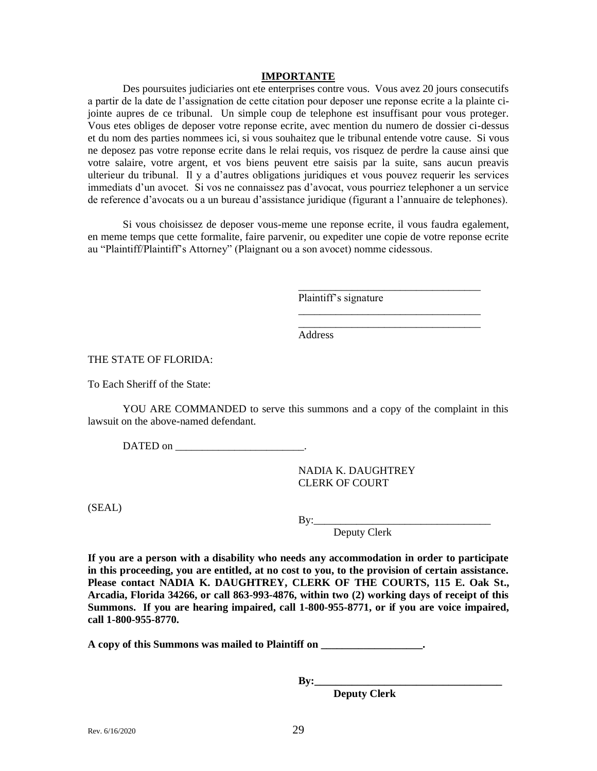#### **IMPORTANTE**

Des poursuites judiciaries ont ete enterprises contre vous. Vous avez 20 jours consecutifs a partir de la date de l'assignation de cette citation pour deposer une reponse ecrite a la plainte cijointe aupres de ce tribunal. Un simple coup de telephone est insuffisant pour vous proteger. Vous etes obliges de deposer votre reponse ecrite, avec mention du numero de dossier ci-dessus et du nom des parties nommees ici, si vous souhaitez que le tribunal entende votre cause. Si vous ne deposez pas votre reponse ecrite dans le relai requis, vos risquez de perdre la cause ainsi que votre salaire, votre argent, et vos biens peuvent etre saisis par la suite, sans aucun preavis ulterieur du tribunal. Il y a d'autres obligations juridiques et vous pouvez requerir les services immediats d'un avocet. Si vos ne connaissez pas d'avocat, vous pourriez telephoner a un service de reference d'avocats ou a un bureau d'assistance juridique (figurant a l'annuaire de telephones).

Si vous choisissez de deposer vous-meme une reponse ecrite, il vous faudra egalement, en meme temps que cette formalite, faire parvenir, ou expediter une copie de votre reponse ecrite au "Plaintiff/Plaintiff's Attorney" (Plaignant ou a son avocet) nomme cidessous.

Plaintiff's signature

Address

THE STATE OF FLORIDA:

To Each Sheriff of the State:

YOU ARE COMMANDED to serve this summons and a copy of the complaint in this lawsuit on the above-named defendant.

DATED on \_\_\_\_\_\_\_\_\_\_\_\_\_\_\_\_\_\_\_\_\_\_\_\_.

NADIA K. DAUGHTREY CLERK OF COURT

(SEAL)

By:\_\_\_\_\_\_\_\_\_\_\_\_\_\_\_\_\_\_\_\_\_\_\_\_\_\_\_\_\_\_\_\_\_

\_\_\_\_\_\_\_\_\_\_\_\_\_\_\_\_\_\_\_\_\_\_\_\_\_\_\_\_\_\_\_\_\_\_

\_\_\_\_\_\_\_\_\_\_\_\_\_\_\_\_\_\_\_\_\_\_\_\_\_\_\_\_\_\_\_\_\_\_

Deputy Clerk

**If you are a person with a disability who needs any accommodation in order to participate in this proceeding, you are entitled, at no cost to you, to the provision of certain assistance. Please contact NADIA K. DAUGHTREY, CLERK OF THE COURTS, 115 E. Oak St., Arcadia, Florida 34266, or call 863-993-4876, within two (2) working days of receipt of this Summons. If you are hearing impaired, call 1-800-955-8771, or if you are voice impaired, call 1-800-955-8770.**

**A copy of this Summons was mailed to Plaintiff on \_\_\_\_\_\_\_\_\_\_\_\_\_\_\_\_\_\_\_.**

**By:\_\_\_\_\_\_\_\_\_\_\_\_\_\_\_\_\_\_\_\_\_\_\_\_\_\_\_\_\_\_\_\_\_\_\_**

**Deputy Clerk**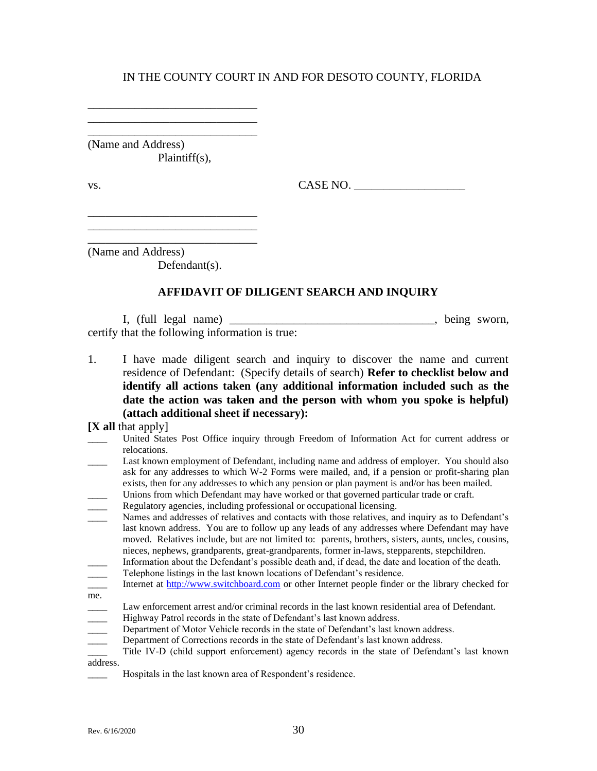\_\_\_\_\_\_\_\_\_\_\_\_\_\_\_\_\_\_\_\_\_\_\_\_\_\_\_\_\_ (Name and Address) Plaintiff(s),

\_\_\_\_\_\_\_\_\_\_\_\_\_\_\_\_\_\_\_\_\_\_\_\_\_\_\_\_\_

\_\_\_\_\_\_\_\_\_\_\_\_\_\_\_\_\_\_\_\_\_\_\_\_\_\_\_\_\_  $\mathcal{L}_\text{max}$  and  $\mathcal{L}_\text{max}$  and  $\mathcal{L}_\text{max}$  and  $\mathcal{L}_\text{max}$ 

vs. CASE NO.

\_\_\_\_\_\_\_\_\_\_\_\_\_\_\_\_\_\_\_\_\_\_\_\_\_\_\_\_\_ (Name and Address)

Defendant(s).

## **AFFIDAVIT OF DILIGENT SEARCH AND INQUIRY**

I, (full legal name) \_\_\_\_\_\_\_\_\_\_\_\_\_\_\_\_\_\_\_\_\_\_\_\_\_\_\_\_\_\_\_\_\_\_\_, being sworn, certify that the following information is true:

1. I have made diligent search and inquiry to discover the name and current residence of Defendant: (Specify details of search) **Refer to checklist below and identify all actions taken (any additional information included such as the date the action was taken and the person with whom you spoke is helpful) (attach additional sheet if necessary):**

**[X all** that apply]

|                          | United States Post Office inquiry through Freedom of Information Act for current address or                                                                                                                                                                                                            |
|--------------------------|--------------------------------------------------------------------------------------------------------------------------------------------------------------------------------------------------------------------------------------------------------------------------------------------------------|
|                          | relocations.                                                                                                                                                                                                                                                                                           |
|                          | Last known employment of Defendant, including name and address of employer. You should also<br>ask for any addresses to which W-2 Forms were mailed, and, if a pension or profit-sharing plan                                                                                                          |
|                          | exists, then for any addresses to which any pension or plan payment is and/or has been mailed.                                                                                                                                                                                                         |
|                          | Unions from which Defendant may have worked or that governed particular trade or craft.                                                                                                                                                                                                                |
|                          | Regulatory agencies, including professional or occupational licensing.                                                                                                                                                                                                                                 |
|                          | Names and addresses of relatives and contacts with those relatives, and inquiry as to Defendant's                                                                                                                                                                                                      |
|                          | last known address. You are to follow up any leads of any addresses where Defendant may have<br>moved. Relatives include, but are not limited to: parents, brothers, sisters, aunts, uncles, cousins,<br>nieces, nephews, grandparents, great-grandparents, former in-laws, stepparents, stepchildren. |
|                          | Information about the Defendant's possible death and, if dead, the date and location of the death.                                                                                                                                                                                                     |
|                          | Telephone listings in the last known locations of Defendant's residence.                                                                                                                                                                                                                               |
| $\overline{a}$           | Internet at http://www.switchboard.com or other Internet people finder or the library checked for                                                                                                                                                                                                      |
| me.                      |                                                                                                                                                                                                                                                                                                        |
|                          | Law enforcement arrest and/or criminal records in the last known residential area of Defendant.                                                                                                                                                                                                        |
| $\overline{\phantom{a}}$ | Highway Patrol records in the state of Defendant's last known address.                                                                                                                                                                                                                                 |
| $\overline{\phantom{a}}$ | Department of Motor Vehicle records in the state of Defendant's last known address.                                                                                                                                                                                                                    |
|                          | Department of Corrections records in the state of Defendant's last known address.                                                                                                                                                                                                                      |
|                          | Title IV-D (child support enforcement) agency records in the state of Defendant's last known                                                                                                                                                                                                           |
| address.                 |                                                                                                                                                                                                                                                                                                        |
|                          |                                                                                                                                                                                                                                                                                                        |

Hospitals in the last known area of Respondent's residence.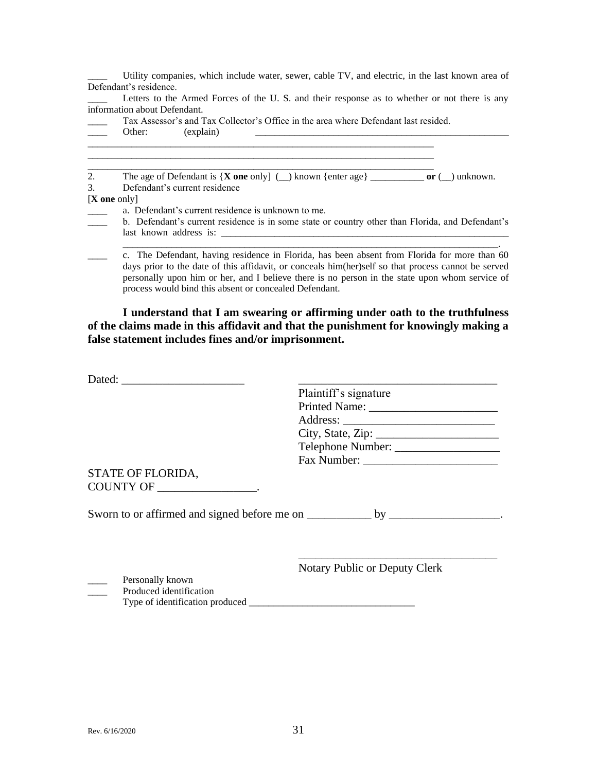|                        | Utility companies, which include water, sewer, cable TV, and electric, in the last known area of                                                                                                                                                                                                                                                                |
|------------------------|-----------------------------------------------------------------------------------------------------------------------------------------------------------------------------------------------------------------------------------------------------------------------------------------------------------------------------------------------------------------|
|                        | Defendant's residence.                                                                                                                                                                                                                                                                                                                                          |
|                        | Letters to the Armed Forces of the U.S. and their response as to whether or not there is any                                                                                                                                                                                                                                                                    |
|                        | information about Defendant.                                                                                                                                                                                                                                                                                                                                    |
|                        | Tax Assessor's and Tax Collector's Office in the area where Defendant last resided.                                                                                                                                                                                                                                                                             |
|                        | (explain)<br>Other:                                                                                                                                                                                                                                                                                                                                             |
| 2.                     |                                                                                                                                                                                                                                                                                                                                                                 |
| 3.                     | Defendant's current residence                                                                                                                                                                                                                                                                                                                                   |
| $[X \text{ one only}]$ |                                                                                                                                                                                                                                                                                                                                                                 |
|                        | a. Defendant's current residence is unknown to me.                                                                                                                                                                                                                                                                                                              |
|                        | b. Defendant's current residence is in some state or country other than Florida, and Defendant's                                                                                                                                                                                                                                                                |
|                        |                                                                                                                                                                                                                                                                                                                                                                 |
|                        | c. The Defendant, having residence in Florida, has been absent from Florida for more than 60<br>days prior to the date of this affidavit, or conceals him(her)self so that process cannot be served<br>personally upon him or her, and I believe there is no person in the state upon whom service of<br>process would bind this absent or concealed Defendant. |
|                        | I understand that I am swearing or affirming under oath to the truthfulness<br>of the claims made in this affidavit and that the punishment for knowingly making a<br>false statement includes fines and/or imprisonment.                                                                                                                                       |

|                                 | Plaintiff's signature                |
|---------------------------------|--------------------------------------|
|                                 |                                      |
|                                 |                                      |
|                                 |                                      |
|                                 | Telephone Number:                    |
|                                 |                                      |
| STATE OF FLORIDA,               |                                      |
| COUNTY OF ____________________. |                                      |
|                                 |                                      |
|                                 |                                      |
|                                 |                                      |
|                                 |                                      |
|                                 |                                      |
|                                 | <b>Notary Public or Deputy Clerk</b> |
| Personally known                |                                      |

**EXECUTE:** Produced identification Type of identification produced \_\_\_\_\_\_\_\_\_\_\_\_\_\_\_\_\_\_\_\_\_\_\_\_\_\_\_\_\_\_\_\_\_\_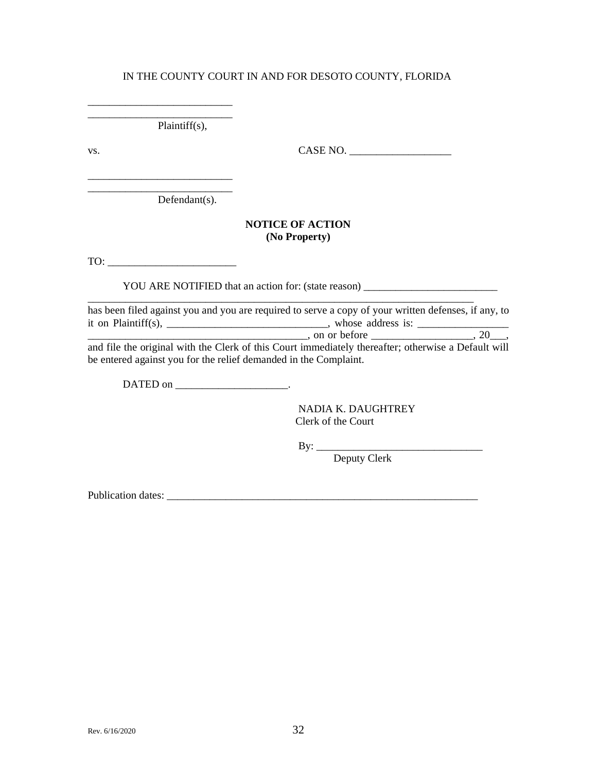\_\_\_\_\_\_\_\_\_\_\_\_\_\_\_\_\_\_\_\_\_\_\_\_\_\_\_ Plaintiff(s),

\_\_\_\_\_\_\_\_\_\_\_\_\_\_\_\_\_\_\_\_\_\_\_\_\_\_\_

\_\_\_\_\_\_\_\_\_\_\_\_\_\_\_\_\_\_\_\_\_\_\_\_\_\_\_

vs. CASE NO. \_\_\_\_\_\_\_\_\_\_\_\_\_\_\_\_\_\_\_

\_\_\_\_\_\_\_\_\_\_\_\_\_\_\_\_\_\_\_\_\_\_\_\_\_\_\_ Defendant(s).

#### **NOTICE OF ACTION (No Property)**

TO:

YOU ARE NOTIFIED that an action for: (state reason) \_\_\_\_\_\_\_\_\_\_\_\_\_\_\_\_\_\_\_\_\_\_\_\_\_\_\_\_

\_\_\_\_\_\_\_\_\_\_\_\_\_\_\_\_\_\_\_\_\_\_\_\_\_\_\_\_\_\_\_\_\_\_\_\_\_\_\_\_\_\_\_\_\_\_\_\_\_\_\_\_\_\_\_\_\_\_\_\_\_\_\_\_\_\_\_\_\_\_\_\_ has been filed against you and you are required to serve a copy of your written defenses, if any, to it on Plaintiff(s), \_\_\_\_\_\_\_\_\_\_\_\_\_\_\_\_\_\_\_\_\_\_\_\_\_\_\_\_\_\_, whose address is: \_\_\_\_\_\_\_\_\_\_\_\_\_\_\_\_\_  $\Box$  on or before  $\Box$ , on or before  $\Box$ 

and file the original with the Clerk of this Court immediately thereafter; otherwise a Default will be entered against you for the relief demanded in the Complaint.

DATED on \_\_\_\_\_\_\_\_\_\_\_\_\_\_\_\_\_\_\_\_\_\_\_\_\_.

NADIA K. DAUGHTREY Clerk of the Court

By: \_\_\_\_\_\_\_\_\_\_\_\_\_\_\_\_\_\_\_\_\_\_\_\_\_\_\_\_\_\_\_

Deputy Clerk

Publication dates: \_\_\_\_\_\_\_\_\_\_\_\_\_\_\_\_\_\_\_\_\_\_\_\_\_\_\_\_\_\_\_\_\_\_\_\_\_\_\_\_\_\_\_\_\_\_\_\_\_\_\_\_\_\_\_\_\_\_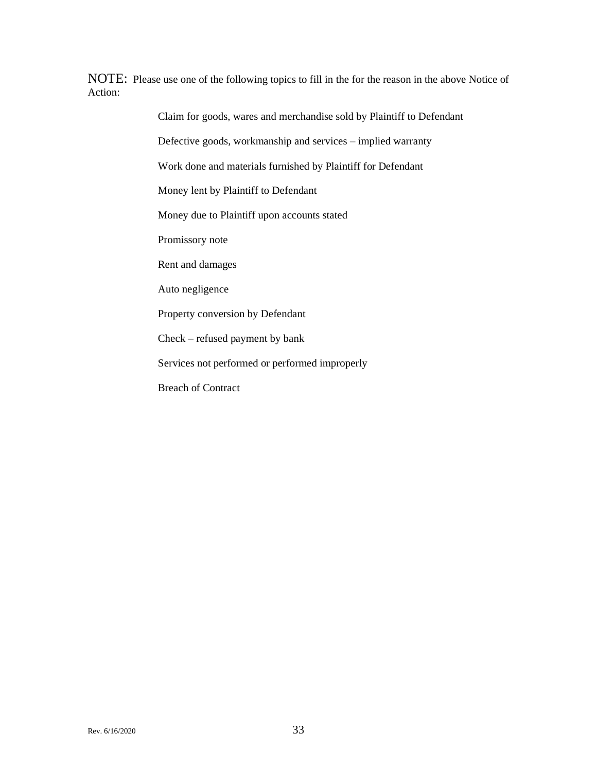NOTE: Please use one of the following topics to fill in the for the reason in the above Notice of Action:

Claim for goods, wares and merchandise sold by Plaintiff to Defendant

Defective goods, workmanship and services – implied warranty

Work done and materials furnished by Plaintiff for Defendant

Money lent by Plaintiff to Defendant

Money due to Plaintiff upon accounts stated

Promissory note

Rent and damages

Auto negligence

Property conversion by Defendant

Check – refused payment by bank

Services not performed or performed improperly

Breach of Contract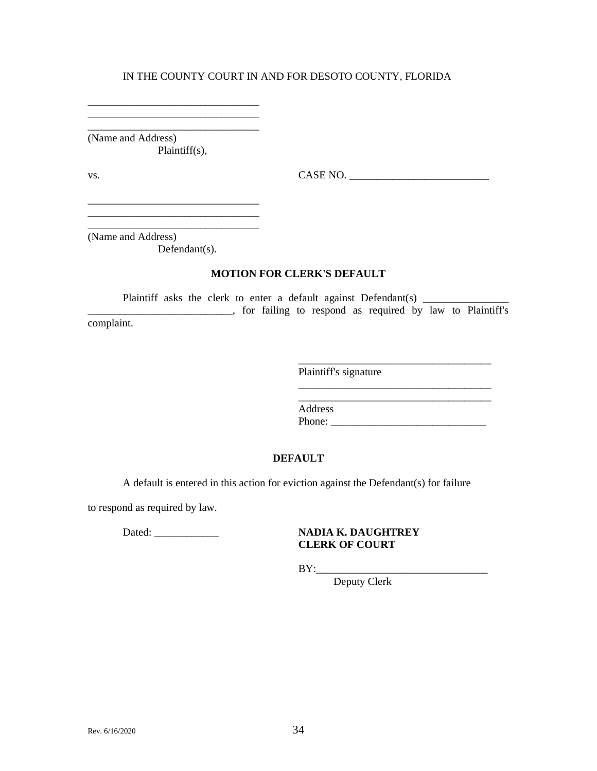\_\_\_\_\_\_\_\_\_\_\_\_\_\_\_\_\_\_\_\_\_\_\_\_\_\_\_\_\_\_\_\_ (Name and Address) Plaintiff(s),

\_\_\_\_\_\_\_\_\_\_\_\_\_\_\_\_\_\_\_\_\_\_\_\_\_\_\_\_\_\_\_\_ \_\_\_\_\_\_\_\_\_\_\_\_\_\_\_\_\_\_\_\_\_\_\_\_\_\_\_\_\_\_\_\_

vs. CASE NO. \_\_\_\_\_\_\_\_\_\_\_\_\_\_\_\_\_\_\_\_\_\_\_\_\_\_

\_\_\_\_\_\_\_\_\_\_\_\_\_\_\_\_\_\_\_\_\_\_\_\_\_\_\_\_\_\_\_\_\_\_\_\_

\_\_\_\_\_\_\_\_\_\_\_\_\_\_\_\_\_\_\_\_\_\_\_\_\_\_\_\_\_\_\_\_\_\_\_\_ \_\_\_\_\_\_\_\_\_\_\_\_\_\_\_\_\_\_\_\_\_\_\_\_\_\_\_\_\_\_\_\_\_\_\_\_

(Name and Address)

Defendant(s).

\_\_\_\_\_\_\_\_\_\_\_\_\_\_\_\_\_\_\_\_\_\_\_\_\_\_\_\_\_\_\_\_ \_\_\_\_\_\_\_\_\_\_\_\_\_\_\_\_\_\_\_\_\_\_\_\_\_\_\_\_\_\_\_\_ \_\_\_\_\_\_\_\_\_\_\_\_\_\_\_\_\_\_\_\_\_\_\_\_\_\_\_\_\_\_\_\_

#### **MOTION FOR CLERK'S DEFAULT**

Plaintiff asks the clerk to enter a default against Defendant(s) \_\_\_\_\_\_\_\_\_\_\_\_\_\_\_ \_\_\_\_\_\_\_\_\_\_\_\_\_\_\_\_\_\_\_\_\_\_\_\_\_\_\_, for failing to respond as required by law to Plaintiff's complaint.

Plaintiff's signature

Address Phone: \_\_\_\_\_\_\_\_\_\_\_\_\_\_\_\_\_\_\_\_\_\_\_\_\_\_\_\_\_

#### **DEFAULT**

A default is entered in this action for eviction against the Defendant(s) for failure

to respond as required by law.

#### Dated: \_\_\_\_\_\_\_\_\_\_\_\_ **NADIA K. DAUGHTREY CLERK OF COURT**

 $BY:$ 

Deputy Clerk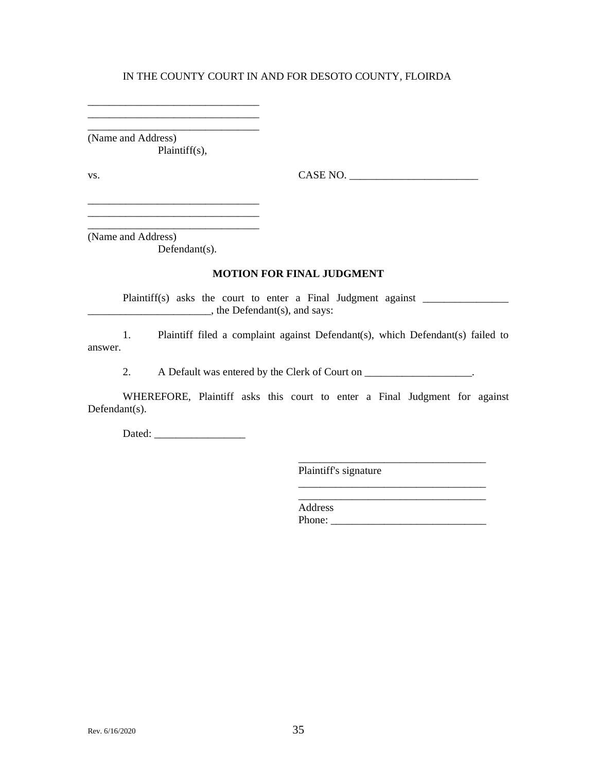\_\_\_\_\_\_\_\_\_\_\_\_\_\_\_\_\_\_\_\_\_\_\_\_\_\_\_\_\_\_\_\_ (Name and Address) Plaintiff(s),

\_\_\_\_\_\_\_\_\_\_\_\_\_\_\_\_\_\_\_\_\_\_\_\_\_\_\_\_\_\_\_\_ \_\_\_\_\_\_\_\_\_\_\_\_\_\_\_\_\_\_\_\_\_\_\_\_\_\_\_\_\_\_\_\_

vs. CASE NO. \_\_\_\_\_\_\_\_\_\_\_\_\_\_\_\_\_\_\_\_\_\_\_\_

(Name and Address)

Defendant(s).

\_\_\_\_\_\_\_\_\_\_\_\_\_\_\_\_\_\_\_\_\_\_\_\_\_\_\_\_\_\_\_\_

\_\_\_\_\_\_\_\_\_\_\_\_\_\_\_\_\_\_\_\_\_\_\_\_\_\_\_\_\_\_\_\_

#### **MOTION FOR FINAL JUDGMENT**

Plaintiff(s) asks the court to enter a Final Judgment against \_\_\_\_\_\_\_\_\_\_\_\_\_\_\_\_\_\_  $\Box$ , the Defendant(s), and says:

1. Plaintiff filed a complaint against Defendant(s), which Defendant(s) failed to answer.

2. A Default was entered by the Clerk of Court on \_\_\_\_\_\_\_\_\_\_\_\_\_\_\_\_\_\_.

WHEREFORE, Plaintiff asks this court to enter a Final Judgment for against Defendant(s).

Dated: \_\_\_\_\_\_\_\_\_\_\_\_\_\_\_\_\_

Plaintiff's signature

\_\_\_\_\_\_\_\_\_\_\_\_\_\_\_\_\_\_\_\_\_\_\_\_\_\_\_\_\_\_\_\_\_\_\_ Address Phone:

\_\_\_\_\_\_\_\_\_\_\_\_\_\_\_\_\_\_\_\_\_\_\_\_\_\_\_\_\_\_\_\_\_\_\_

\_\_\_\_\_\_\_\_\_\_\_\_\_\_\_\_\_\_\_\_\_\_\_\_\_\_\_\_\_\_\_\_\_\_\_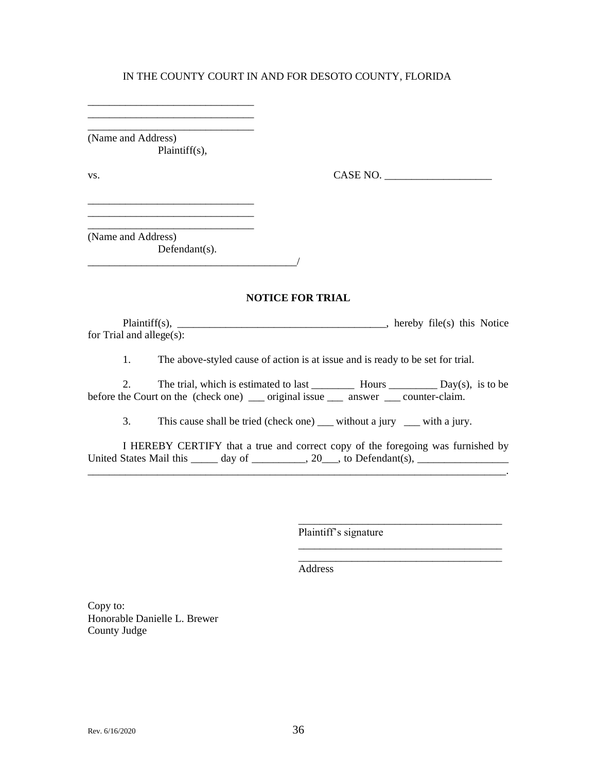\_\_\_\_\_\_\_\_\_\_\_\_\_\_\_\_\_\_\_\_\_\_\_\_\_\_\_\_\_\_\_ (Name and Address) Plaintiff(s),

\_\_\_\_\_\_\_\_\_\_\_\_\_\_\_\_\_\_\_\_\_\_\_\_\_\_\_\_\_\_\_

\_\_\_\_\_\_\_\_\_\_\_\_\_\_\_\_\_\_\_\_\_\_\_\_\_\_\_\_\_\_\_ \_\_\_\_\_\_\_\_\_\_\_\_\_\_\_\_\_\_\_\_\_\_\_\_\_\_\_\_\_\_\_ \_\_\_\_\_\_\_\_\_\_\_\_\_\_\_\_\_\_\_\_\_\_\_\_\_\_\_\_\_\_\_

vs. CASE NO. \_\_\_\_\_\_\_\_\_\_\_\_\_\_\_\_\_\_\_\_

(Name and Address) Defendant(s).

\_\_\_\_\_\_\_\_\_\_\_\_\_\_\_\_\_\_\_\_\_\_\_\_\_\_\_\_\_\_\_\_\_\_\_\_\_\_\_/

#### **NOTICE FOR TRIAL**

Plaintiff(s), \_\_\_\_\_\_\_\_\_\_\_\_\_\_\_\_\_\_\_\_\_\_\_\_\_\_\_\_\_\_\_\_\_, hereby file(s) this Notice for Trial and allege(s):

1. The above-styled cause of action is at issue and is ready to be set for trial.

2. The trial, which is estimated to last \_\_\_\_\_\_\_\_ Hours \_\_\_\_\_\_\_\_\_ Day(s), is to be before the Court on the (check one) \_\_\_\_ original issue \_\_\_\_\_ answer \_\_\_\_ counter-claim.

3. This cause shall be tried (check one) \_\_\_ without a jury \_\_\_ with a jury.

I HEREBY CERTIFY that a true and correct copy of the foregoing was furnished by United States Mail this  $\_\_\_\_$  day of  $\_\_\_\_\_$ , 20, to Defendant(s),  $\_\_\_\_\_\_\_\_\_$ \_\_\_\_\_\_\_\_\_\_\_\_\_\_\_\_\_\_\_\_\_\_\_\_\_\_\_\_\_\_\_\_\_\_\_\_\_\_\_\_\_\_\_\_\_\_\_\_\_\_\_\_\_\_\_\_\_\_\_\_\_\_\_\_\_\_\_\_\_\_\_\_\_\_\_\_\_\_.

Plaintiff's signature

\_\_\_\_\_\_\_\_\_\_\_\_\_\_\_\_\_\_\_\_\_\_\_\_\_\_\_\_\_\_\_\_\_\_\_\_\_\_

\_\_\_\_\_\_\_\_\_\_\_\_\_\_\_\_\_\_\_\_\_\_\_\_\_\_\_\_\_\_\_\_\_\_\_\_\_\_ \_\_\_\_\_\_\_\_\_\_\_\_\_\_\_\_\_\_\_\_\_\_\_\_\_\_\_\_\_\_\_\_\_\_\_\_\_\_

Address

Copy to: Honorable Danielle L. Brewer County Judge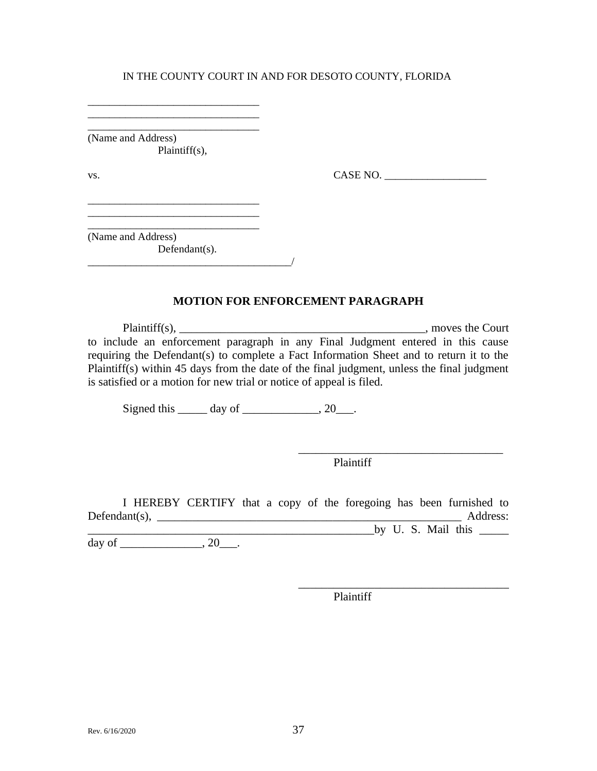\_\_\_\_\_\_\_\_\_\_\_\_\_\_\_\_\_\_\_\_\_\_\_\_\_\_\_\_\_\_\_\_ (Name and Address) Plaintiff(s),

\_\_\_\_\_\_\_\_\_\_\_\_\_\_\_\_\_\_\_\_\_\_\_\_\_\_\_\_\_\_\_\_ \_\_\_\_\_\_\_\_\_\_\_\_\_\_\_\_\_\_\_\_\_\_\_\_\_\_\_\_\_\_\_\_

\_\_\_\_\_\_\_\_\_\_\_\_\_\_\_\_\_\_\_\_\_\_\_\_\_\_\_\_\_\_\_\_

vs. CASE NO. \_\_\_\_\_\_\_\_\_\_\_\_\_\_\_\_\_\_\_

\_\_\_\_\_\_\_\_\_\_\_\_\_\_\_\_\_\_\_\_\_\_\_\_\_\_\_\_\_\_\_\_ (Name and Address) Defendant(s).

#### **MOTION FOR ENFORCEMENT PARAGRAPH**

Plaintiff(s), the Court of the Court of the Court of the Court of the Court of the Court of the Court of the Court of the Court of the Court of the Court of the Court of the Court of the Court of the Court of the Court of to include an enforcement paragraph in any Final Judgment entered in this cause requiring the Defendant(s) to complete a Fact Information Sheet and to return it to the Plaintiff(s) within 45 days from the date of the final judgment, unless the final judgment is satisfied or a motion for new trial or notice of appeal is filed.

Signed this  $\_\_\_\_\$  day of  $\_\_\_\_\_\$ , 20 $\_\_\_\$ .

Plaintiff

\_\_\_\_\_\_\_\_\_\_\_\_\_\_\_\_\_\_\_\_\_\_\_\_\_\_\_\_\_\_\_\_\_\_\_

\_\_\_\_\_\_\_\_\_\_\_\_\_\_\_\_\_\_\_\_\_\_\_\_\_\_\_\_\_\_\_\_\_\_\_\_

I HEREBY CERTIFY that a copy of the foregoing has been furnished to Defendant(s), \_\_\_\_\_\_\_\_\_\_\_\_\_\_\_\_\_\_\_\_\_\_\_\_\_\_\_\_\_\_\_\_\_\_\_\_\_\_\_\_\_\_\_\_\_\_\_\_\_\_\_\_ Address: \_\_\_\_\_\_\_\_\_\_\_\_\_\_\_\_\_\_\_\_\_\_\_\_\_\_\_\_\_\_\_\_\_\_\_\_\_\_\_\_\_\_\_\_\_\_\_\_\_by U. S. Mail this \_\_\_\_\_

day of \_\_\_\_\_\_\_\_\_\_\_\_\_\_, 20\_\_\_\_.

Plaintiff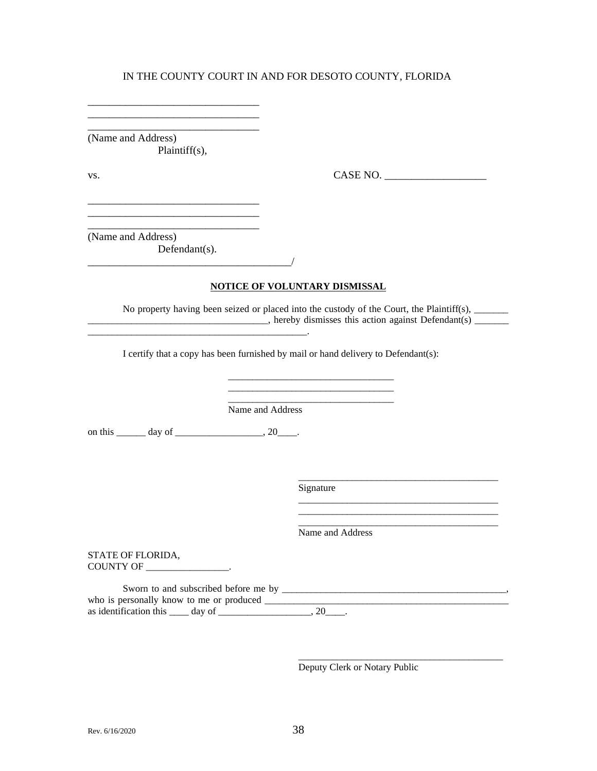\_\_\_\_\_\_\_\_\_\_\_\_\_\_\_\_\_\_\_\_\_\_\_\_\_\_\_\_\_\_\_\_ (Name and Address) Plaintiff(s),

\_\_\_\_\_\_\_\_\_\_\_\_\_\_\_\_\_\_\_\_\_\_\_\_\_\_\_\_\_\_\_\_ \_\_\_\_\_\_\_\_\_\_\_\_\_\_\_\_\_\_\_\_\_\_\_\_\_\_\_\_\_\_\_\_

\_\_\_\_\_\_\_\_\_\_\_\_\_\_\_\_\_\_\_\_\_\_\_\_\_\_\_\_\_\_\_\_

\_\_\_\_\_\_\_\_\_\_\_\_\_\_\_\_\_\_\_\_\_\_\_\_\_\_\_\_\_\_\_\_

\_\_\_\_\_\_\_\_\_\_\_\_\_\_\_\_\_\_\_\_\_\_\_\_\_\_\_\_\_\_\_\_\_\_\_\_\_\_/

\_\_\_\_\_\_\_\_\_\_\_\_\_\_\_\_\_\_\_\_\_\_\_\_\_\_\_\_\_\_\_\_\_\_\_\_\_\_\_\_\_\_\_\_\_.

vs. 2008. CASE NO. 2008. CASE NO. 2008. CASE NO. 2008. 2009. CASE NO. 2008. 2009. CASE NO. 2008. 2014. 2015. CASE NO. 2016. 2017. 2018. 2019. 2017. 2018. 2017. 2018. 2019. 2017. 2018. 2019. 2017. 2018. 2019. 2019. 2019. 20

(Name and Address) Defendant(s).

**NOTICE OF VOLUNTARY DISMISSAL**

No property having been seized or placed into the custody of the Court, the Plaintiff(s), \_\_\_\_\_\_\_\_\_  $\Box$ , hereby dismisses this action against Defendant(s)  $\Box$ 

> \_\_\_\_\_\_\_\_\_\_\_\_\_\_\_\_\_\_\_\_\_\_\_\_\_\_\_\_\_\_\_\_\_\_ \_\_\_\_\_\_\_\_\_\_\_\_\_\_\_\_\_\_\_\_\_\_\_\_\_\_\_\_\_\_\_\_\_\_

I certify that a copy has been furnished by mail or hand delivery to Defendant(s):

Name and Address

on this \_\_\_\_\_\_\_ day of \_\_\_\_\_\_\_\_\_\_\_\_\_\_\_\_\_\_\_, 20\_\_\_\_\_.

Signature

Name and Address

\_\_\_\_\_\_\_\_\_\_\_\_\_\_\_\_\_\_\_\_\_\_\_\_\_\_\_\_\_\_\_\_\_\_\_\_\_\_\_\_\_

\_\_\_\_\_\_\_\_\_\_\_\_\_\_\_\_\_\_\_\_\_\_\_\_\_\_\_\_\_\_\_\_\_\_\_\_\_\_\_\_\_ \_\_\_\_\_\_\_\_\_\_\_\_\_\_\_\_\_\_\_\_\_\_\_\_\_\_\_\_\_\_\_\_\_\_\_\_\_\_\_\_\_ \_\_\_\_\_\_\_\_\_\_\_\_\_\_\_\_\_\_\_\_\_\_\_\_\_\_\_\_\_\_\_\_\_\_\_\_\_\_\_\_\_

\_\_\_\_\_\_\_\_\_\_\_\_\_\_\_\_\_\_\_\_\_\_\_\_\_\_\_\_\_\_\_\_\_\_\_\_\_\_\_\_\_\_

STATE OF FLORIDA, COUNTY OF \_\_\_\_\_\_\_\_\_\_\_\_\_\_\_\_\_.

Sworn to and subscribed before me by \_\_\_\_\_\_\_\_\_\_\_\_\_\_\_\_\_\_\_\_\_\_\_\_\_\_\_\_\_\_\_\_\_\_\_\_\_\_\_\_\_\_\_\_\_\_, who is personally know to me or produced \_\_\_\_\_\_\_\_\_\_\_\_\_\_\_\_\_\_\_\_\_\_\_\_\_\_\_\_\_\_\_\_\_\_\_\_\_\_\_\_\_\_\_\_\_\_\_\_\_\_ as identification this  $\_\_\_$  day of  $\_\_\_\_\_\_\_\_\_$ , 20 $\_\_\_\_\.\$ 

Deputy Clerk or Notary Public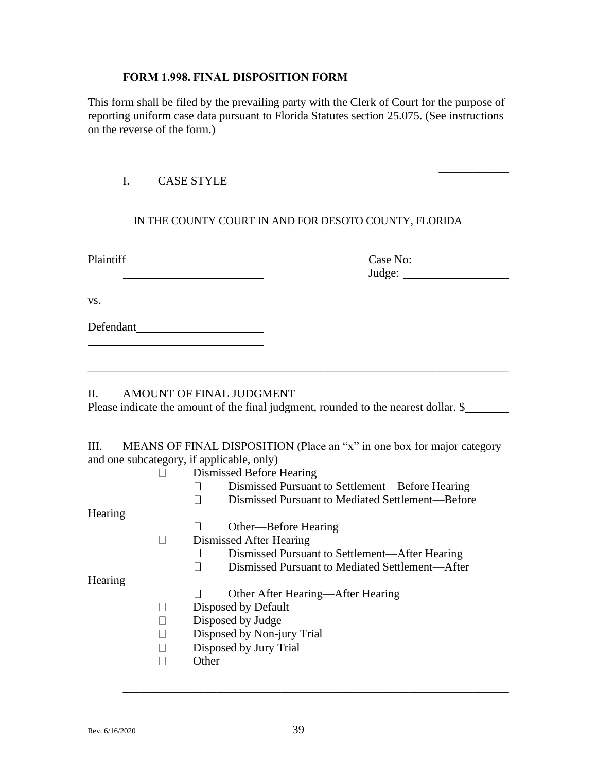#### **FORM 1.998. FINAL DISPOSITION FORM**

This form shall be filed by the prevailing party with the Clerk of Court for the purpose of reporting uniform case data pursuant to Florida Statutes section 25.075. (See instructions on the reverse of the form.)

# I. CASE STYLE

## IN THE COUNTY COURT IN AND FOR DESOTO COUNTY, FLORIDA

| Plaintiff |  |
|-----------|--|
|           |  |

# Plaintiff Case No: Judge:

 $\overline{\phantom{a}}$ 

vs.

# Defendant

## II. AMOUNT OF FINAL JUDGMENT

Please indicate the amount of the final judgment, rounded to the nearest dollar. \$

\_\_\_\_\_\_\_\_\_\_\_\_\_\_\_\_\_\_\_\_\_\_\_\_\_\_\_\_\_\_\_\_\_\_\_\_\_\_\_\_\_\_\_\_\_\_\_\_\_\_\_\_\_\_\_\_\_\_\_\_\_\_\_\_\_\_\_\_\_\_\_\_

# III. MEANS OF FINAL DISPOSITION (Place an "x" in one box for major category and one subcategory, if applicable, only)

|         | Dismissed Before Hearing                         |  |  |  |  |  |
|---------|--------------------------------------------------|--|--|--|--|--|
|         | Dismissed Pursuant to Settlement—Before Hearing  |  |  |  |  |  |
|         | Dismissed Pursuant to Mediated Settlement—Before |  |  |  |  |  |
| Hearing |                                                  |  |  |  |  |  |
|         | Other—Before Hearing                             |  |  |  |  |  |
|         | Dismissed After Hearing                          |  |  |  |  |  |
|         | Dismissed Pursuant to Settlement—After Hearing   |  |  |  |  |  |
|         | Dismissed Pursuant to Mediated Settlement—After  |  |  |  |  |  |
| Hearing |                                                  |  |  |  |  |  |
|         | Other After Hearing—After Hearing                |  |  |  |  |  |
|         | Disposed by Default                              |  |  |  |  |  |
|         | Disposed by Judge                                |  |  |  |  |  |
|         | Disposed by Non-jury Trial                       |  |  |  |  |  |
|         | Disposed by Jury Trial                           |  |  |  |  |  |
|         | Other                                            |  |  |  |  |  |
|         |                                                  |  |  |  |  |  |

 $\_$  , and the set of the set of the set of the set of the set of the set of the set of the set of the set of the set of the set of the set of the set of the set of the set of the set of the set of the set of the set of th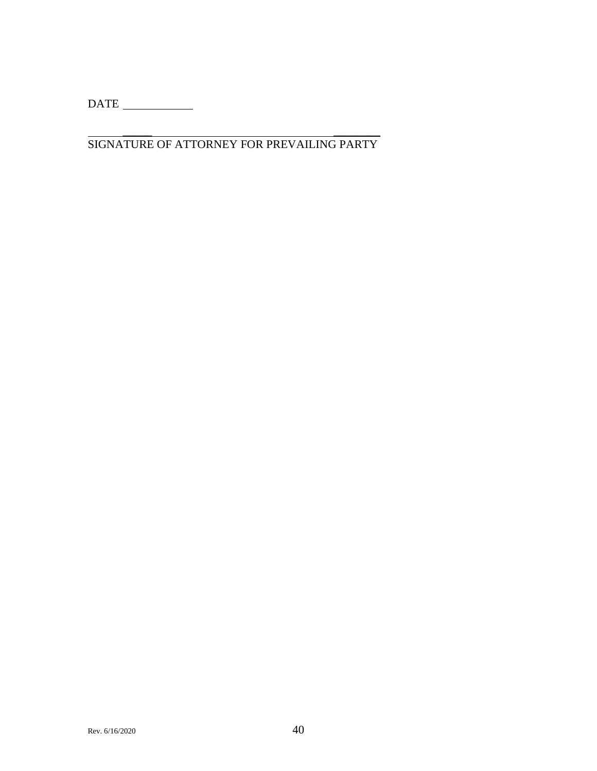$\begin{tabular}{c} DATE & \textcolor{red}{\textbf{---}} \\ \hline \end{tabular}$ 

\_\_\_\_\_ \_\_\_\_\_\_\_\_ SIGNATURE OF ATTORNEY FOR PREVAILING PARTY